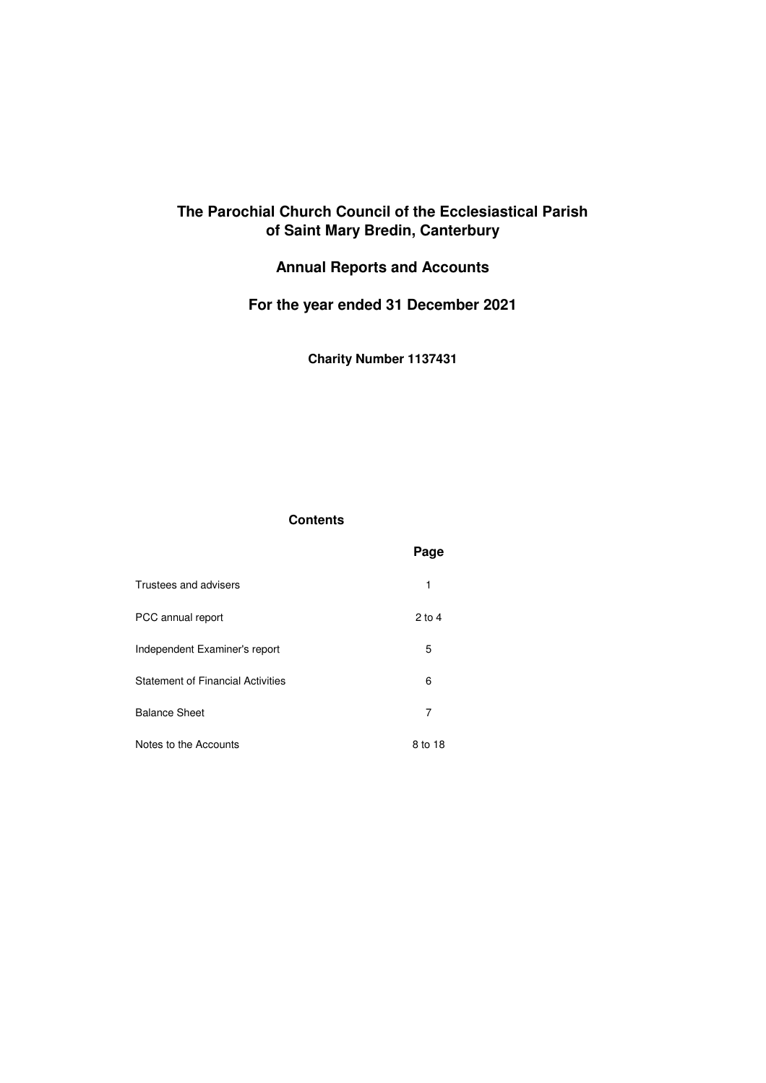# **The Parochial Church Council of the Ecclesiastical Parish of Saint Mary Bredin, Canterbury**

# **Annual Reports and Accounts**

# **For the year ended 31 December 2021**

**Charity Number 1137431**

## **Contents**

|                                          | Page     |
|------------------------------------------|----------|
| Trustees and advisers                    | 1        |
| PCC annual report                        | $2$ to 4 |
| Independent Examiner's report            | 5        |
| <b>Statement of Financial Activities</b> | 6        |
| <b>Balance Sheet</b>                     | 7        |
| Notes to the Accounts                    | 8 to 18  |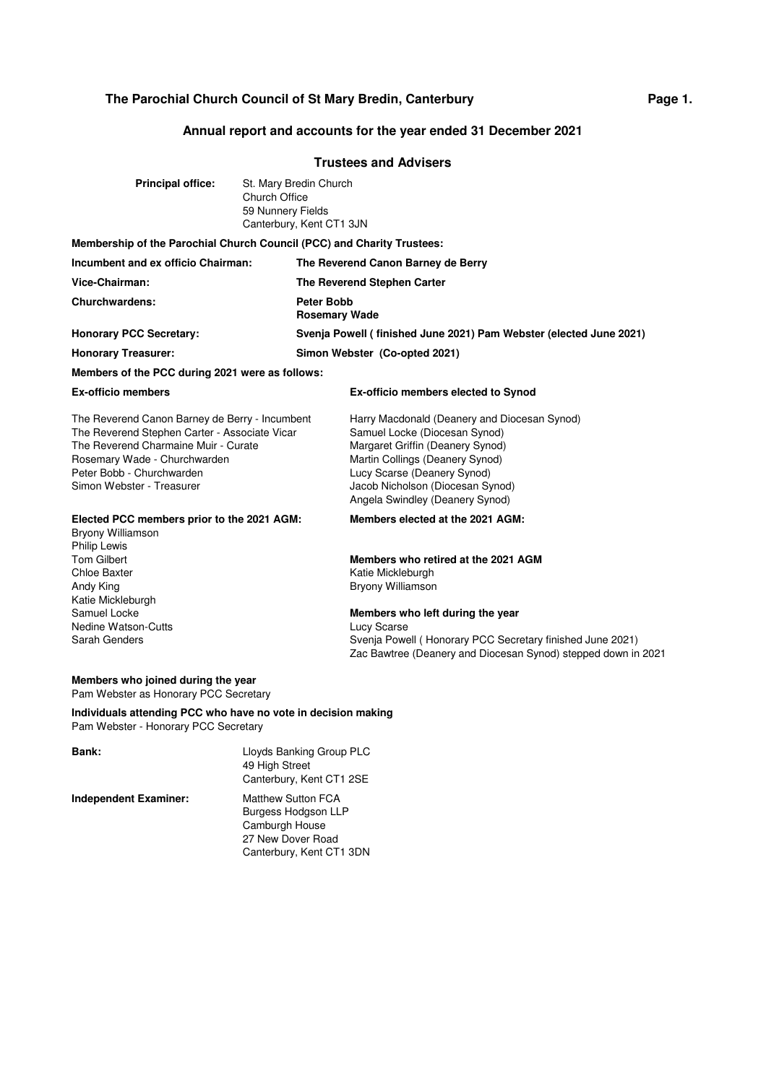# **Annual report and accounts for the year ended 31 December 2021**

## **Trustees and Advisers**

| <b>Principal office:</b>                                                                                                                                                                                                          | <b>Church Office</b><br>59 Nunnery Fields | St. Mary Bredin Church<br>Canterbury, Kent CT1 3JN |                                                                                                                                                                                                                                                            |
|-----------------------------------------------------------------------------------------------------------------------------------------------------------------------------------------------------------------------------------|-------------------------------------------|----------------------------------------------------|------------------------------------------------------------------------------------------------------------------------------------------------------------------------------------------------------------------------------------------------------------|
| Membership of the Parochial Church Council (PCC) and Charity Trustees:                                                                                                                                                            |                                           |                                                    |                                                                                                                                                                                                                                                            |
| Incumbent and ex officio Chairman:                                                                                                                                                                                                |                                           |                                                    | The Reverend Canon Barney de Berry                                                                                                                                                                                                                         |
| Vice-Chairman:                                                                                                                                                                                                                    |                                           |                                                    | The Reverend Stephen Carter                                                                                                                                                                                                                                |
| Churchwardens:                                                                                                                                                                                                                    |                                           | <b>Peter Bobb</b><br><b>Rosemary Wade</b>          |                                                                                                                                                                                                                                                            |
| <b>Honorary PCC Secretary:</b>                                                                                                                                                                                                    |                                           |                                                    | Svenja Powell (finished June 2021) Pam Webster (elected June 2021)                                                                                                                                                                                         |
| <b>Honorary Treasurer:</b>                                                                                                                                                                                                        |                                           |                                                    | Simon Webster (Co-opted 2021)                                                                                                                                                                                                                              |
| Members of the PCC during 2021 were as follows:                                                                                                                                                                                   |                                           |                                                    |                                                                                                                                                                                                                                                            |
| <b>Ex-officio members</b>                                                                                                                                                                                                         |                                           |                                                    | <b>Ex-officio members elected to Synod</b>                                                                                                                                                                                                                 |
| The Reverend Canon Barney de Berry - Incumbent<br>The Reverend Stephen Carter - Associate Vicar<br>The Reverend Charmaine Muir - Curate<br>Rosemary Wade - Churchwarden<br>Peter Bobb - Churchwarden<br>Simon Webster - Treasurer |                                           |                                                    | Harry Macdonald (Deanery and Diocesan Synod)<br>Samuel Locke (Diocesan Synod)<br>Margaret Griffin (Deanery Synod)<br>Martin Collings (Deanery Synod)<br>Lucy Scarse (Deanery Synod)<br>Jacob Nicholson (Diocesan Synod)<br>Angela Swindley (Deanery Synod) |
| Elected PCC members prior to the 2021 AGM:<br>Bryony Williamson<br><b>Philip Lewis</b>                                                                                                                                            |                                           |                                                    | Members elected at the 2021 AGM:                                                                                                                                                                                                                           |
| <b>Tom Gilbert</b><br>Chloe Baxter<br>Andy King<br>Katie Mickleburgh<br>Samuel Locke<br>Nedine Watson-Cutts<br>Sarah Genders                                                                                                      |                                           |                                                    | Members who retired at the 2021 AGM<br>Katie Mickleburgh<br>Bryony Williamson                                                                                                                                                                              |
|                                                                                                                                                                                                                                   |                                           |                                                    | Members who left during the year<br>Lucy Scarse<br>Svenja Powell (Honorary PCC Secretary finished June 2021)<br>Zac Bawtree (Deanery and Diocesan Synod) stepped down in 2021                                                                              |
| Members who joined during the year<br>Pam Webster as Honorary PCC Secretary                                                                                                                                                       |                                           |                                                    |                                                                                                                                                                                                                                                            |
| Individuals attending PCC who have no vote in decision making<br>Pam Webster - Honorary PCC Secretary                                                                                                                             |                                           |                                                    |                                                                                                                                                                                                                                                            |

| Bank:                        | Lloyds Banking Group PLC<br>49 High Street<br>Canterbury, Kent CT1 2SE                                       |
|------------------------------|--------------------------------------------------------------------------------------------------------------|
| <b>Independent Examiner:</b> | Matthew Sutton FCA<br>Burgess Hodgson LLP<br>Camburgh House<br>27 New Dover Road<br>Canterbury, Kent CT1 3DN |

**Page 1.**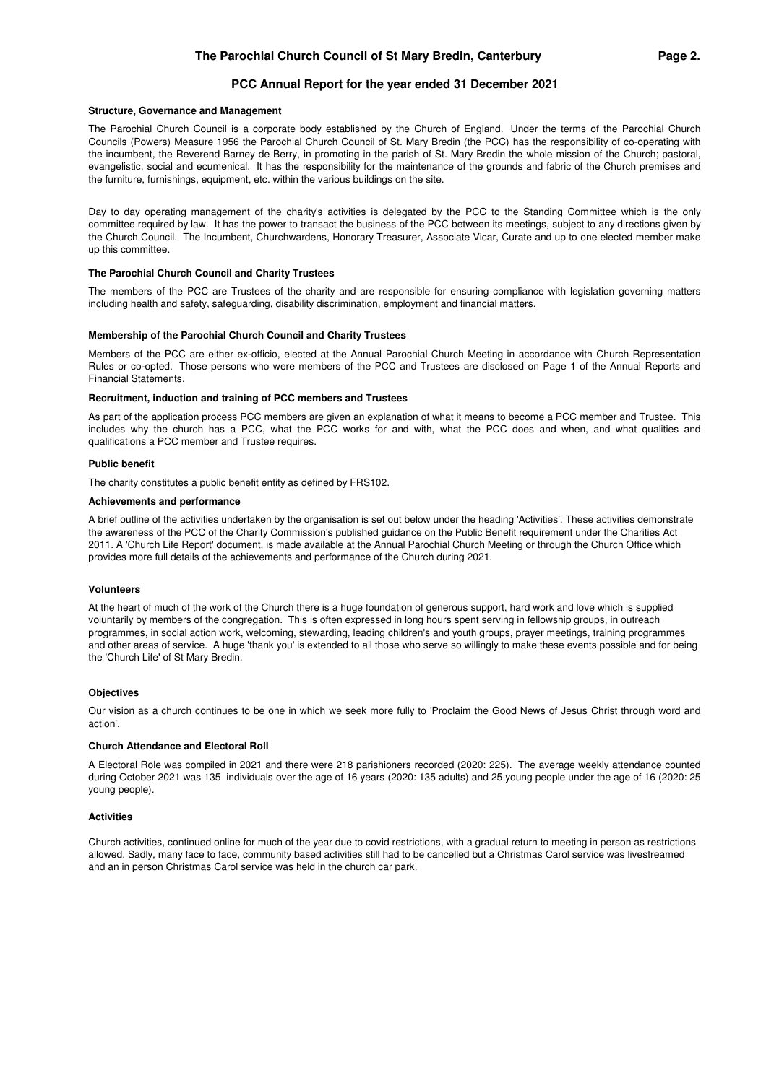### **PCC Annual Report for the year ended 31 December 2021**

#### **Structure, Governance and Management**

The Parochial Church Council is a corporate body established by the Church of England. Under the terms of the Parochial Church Councils (Powers) Measure 1956 the Parochial Church Council of St. Mary Bredin (the PCC) has the responsibility of co-operating with the incumbent, the Reverend Barney de Berry, in promoting in the parish of St. Mary Bredin the whole mission of the Church; pastoral, evangelistic, social and ecumenical. It has the responsibility for the maintenance of the grounds and fabric of the Church premises and the furniture, furnishings, equipment, etc. within the various buildings on the site.

Day to day operating management of the charity's activities is delegated by the PCC to the Standing Committee which is the only committee required by law. It has the power to transact the business of the PCC between its meetings, subject to any directions given by the Church Council. The Incumbent, Churchwardens, Honorary Treasurer, Associate Vicar, Curate and up to one elected member make up this committee.

#### **The Parochial Church Council and Charity Trustees**

The members of the PCC are Trustees of the charity and are responsible for ensuring compliance with legislation governing matters including health and safety, safeguarding, disability discrimination, employment and financial matters.

#### **Membership of the Parochial Church Council and Charity Trustees**

Members of the PCC are either ex-officio, elected at the Annual Parochial Church Meeting in accordance with Church Representation Rules or co-opted. Those persons who were members of the PCC and Trustees are disclosed on Page 1 of the Annual Reports and Financial Statements.

#### **Recruitment, induction and training of PCC members and Trustees**

As part of the application process PCC members are given an explanation of what it means to become a PCC member and Trustee. This includes why the church has a PCC, what the PCC works for and with, what the PCC does and when, and what qualities and qualifications a PCC member and Trustee requires.

#### **Public benefit**

The charity constitutes a public benefit entity as defined by FRS102.

### **Achievements and performance**

A brief outline of the activities undertaken by the organisation is set out below under the heading 'Activities'. These activities demonstrate the awareness of the PCC of the Charity Commission's published guidance on the Public Benefit requirement under the Charities Act 2011. A 'Church Life Report' document, is made available at the Annual Parochial Church Meeting or through the Church Office which provides more full details of the achievements and performance of the Church during 2021.

### **Volunteers**

At the heart of much of the work of the Church there is a huge foundation of generous support, hard work and love which is supplied voluntarily by members of the congregation. This is often expressed in long hours spent serving in fellowship groups, in outreach programmes, in social action work, welcoming, stewarding, leading children's and youth groups, prayer meetings, training programmes and other areas of service. A huge 'thank you' is extended to all those who serve so willingly to make these events possible and for being the 'Church Life' of St Mary Bredin.

### **Objectives**

Our vision as a church continues to be one in which we seek more fully to 'Proclaim the Good News of Jesus Christ through word and action'.

#### **Church Attendance and Electoral Roll**

A Electoral Role was compiled in 2021 and there were 218 parishioners recorded (2020: 225). The average weekly attendance counted during October 2021 was 135 individuals over the age of 16 years (2020: 135 adults) and 25 young people under the age of 16 (2020: 25 young people).

### **Activities**

Church activities, continued online for much of the year due to covid restrictions, with a gradual return to meeting in person as restrictions allowed. Sadly, many face to face, community based activities still had to be cancelled but a Christmas Carol service was livestreamed and an in person Christmas Carol service was held in the church car park.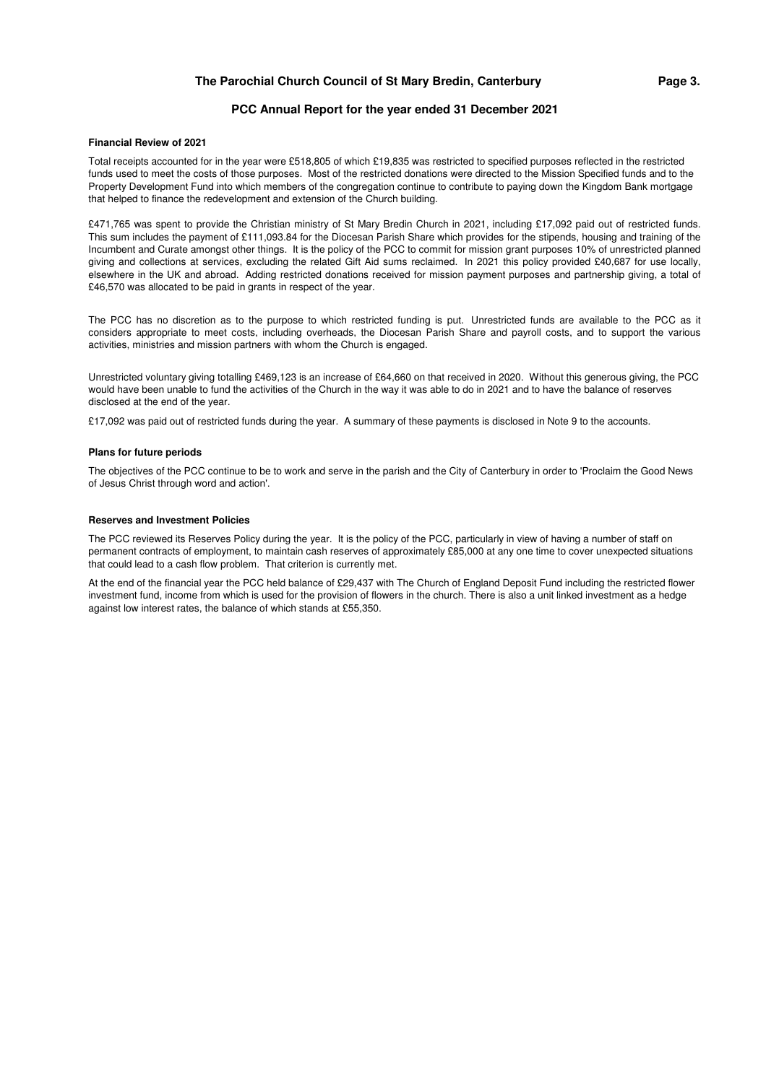## **PCC Annual Report for the year ended 31 December 2021**

#### **Financial Review of 2021**

Total receipts accounted for in the year were £518,805 of which £19,835 was restricted to specified purposes reflected in the restricted funds used to meet the costs of those purposes. Most of the restricted donations were directed to the Mission Specified funds and to the Property Development Fund into which members of the congregation continue to contribute to paying down the Kingdom Bank mortgage that helped to finance the redevelopment and extension of the Church building.

£471,765 was spent to provide the Christian ministry of St Mary Bredin Church in 2021, including £17,092 paid out of restricted funds. This sum includes the payment of £111,093.84 for the Diocesan Parish Share which provides for the stipends, housing and training of the Incumbent and Curate amongst other things. It is the policy of the PCC to commit for mission grant purposes 10% of unrestricted planned giving and collections at services, excluding the related Gift Aid sums reclaimed. In 2021 this policy provided £40,687 for use locally, elsewhere in the UK and abroad. Adding restricted donations received for mission payment purposes and partnership giving, a total of £46,570 was allocated to be paid in grants in respect of the year.

The PCC has no discretion as to the purpose to which restricted funding is put. Unrestricted funds are available to the PCC as it considers appropriate to meet costs, including overheads, the Diocesan Parish Share and payroll costs, and to support the various activities, ministries and mission partners with whom the Church is engaged.

Unrestricted voluntary giving totalling £469,123 is an increase of £64,660 on that received in 2020. Without this generous giving, the PCC would have been unable to fund the activities of the Church in the way it was able to do in 2021 and to have the balance of reserves disclosed at the end of the year.

£17,092 was paid out of restricted funds during the year. A summary of these payments is disclosed in Note 9 to the accounts.

#### **Plans for future periods**

The objectives of the PCC continue to be to work and serve in the parish and the City of Canterbury in order to 'Proclaim the Good News of Jesus Christ through word and action'.

#### **Reserves and Investment Policies**

The PCC reviewed its Reserves Policy during the year. It is the policy of the PCC, particularly in view of having a number of staff on permanent contracts of employment, to maintain cash reserves of approximately £85,000 at any one time to cover unexpected situations that could lead to a cash flow problem. That criterion is currently met.

At the end of the financial year the PCC held balance of £29,437 with The Church of England Deposit Fund including the restricted flower investment fund, income from which is used for the provision of flowers in the church. There is also a unit linked investment as a hedge against low interest rates, the balance of which stands at £55,350.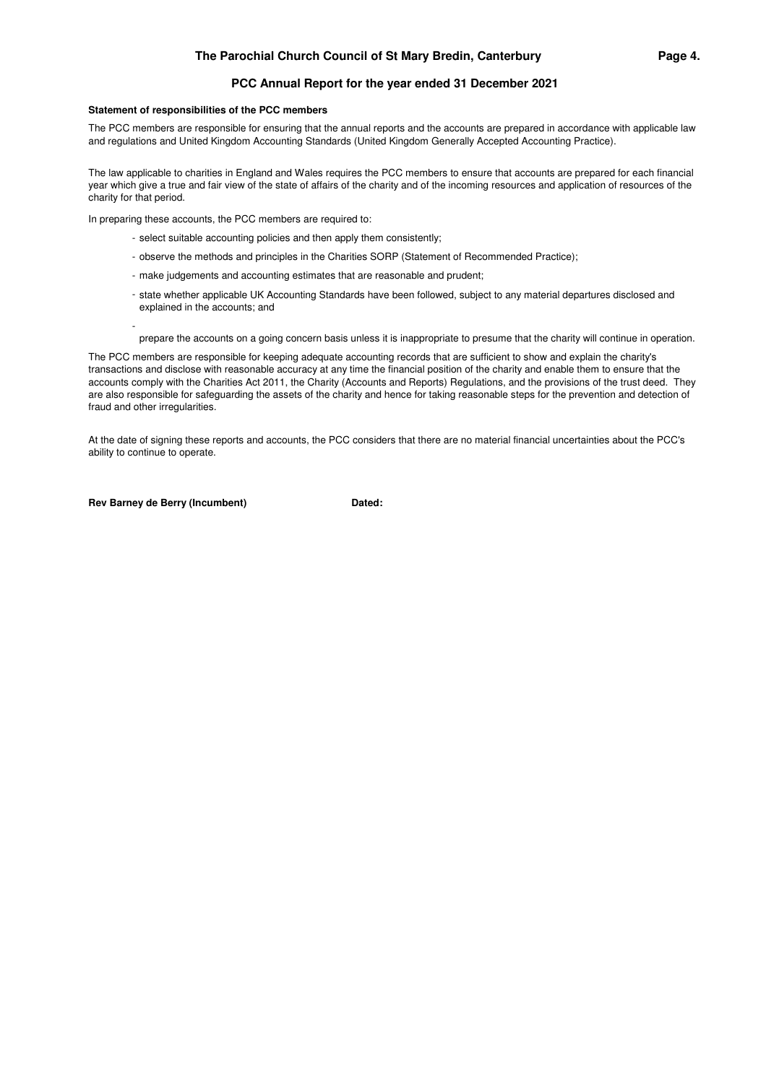## **PCC Annual Report for the year ended 31 December 2021**

### **Statement of responsibilities of the PCC members**

The PCC members are responsible for ensuring that the annual reports and the accounts are prepared in accordance with applicable law and regulations and United Kingdom Accounting Standards (United Kingdom Generally Accepted Accounting Practice).

The law applicable to charities in England and Wales requires the PCC members to ensure that accounts are prepared for each financial year which give a true and fair view of the state of affairs of the charity and of the incoming resources and application of resources of the charity for that period.

In preparing these accounts, the PCC members are required to:

- select suitable accounting policies and then apply them consistently;
- observe the methods and principles in the Charities SORP (Statement of Recommended Practice);
- make judgements and accounting estimates that are reasonable and prudent;
- state whether applicable UK Accounting Standards have been followed, subject to any material departures disclosed and explained in the accounts; and
- prepare the accounts on a going concern basis unless it is inappropriate to presume that the charity will continue in operation.

The PCC members are responsible for keeping adequate accounting records that are sufficient to show and explain the charity's transactions and disclose with reasonable accuracy at any time the financial position of the charity and enable them to ensure that the accounts comply with the Charities Act 2011, the Charity (Accounts and Reports) Regulations, and the provisions of the trust deed. They are also responsible for safeguarding the assets of the charity and hence for taking reasonable steps for the prevention and detection of fraud and other irregularities.

At the date of signing these reports and accounts, the PCC considers that there are no material financial uncertainties about the PCC's ability to continue to operate.

**Rev Barney de Berry (Incumbent) Dated:** 

-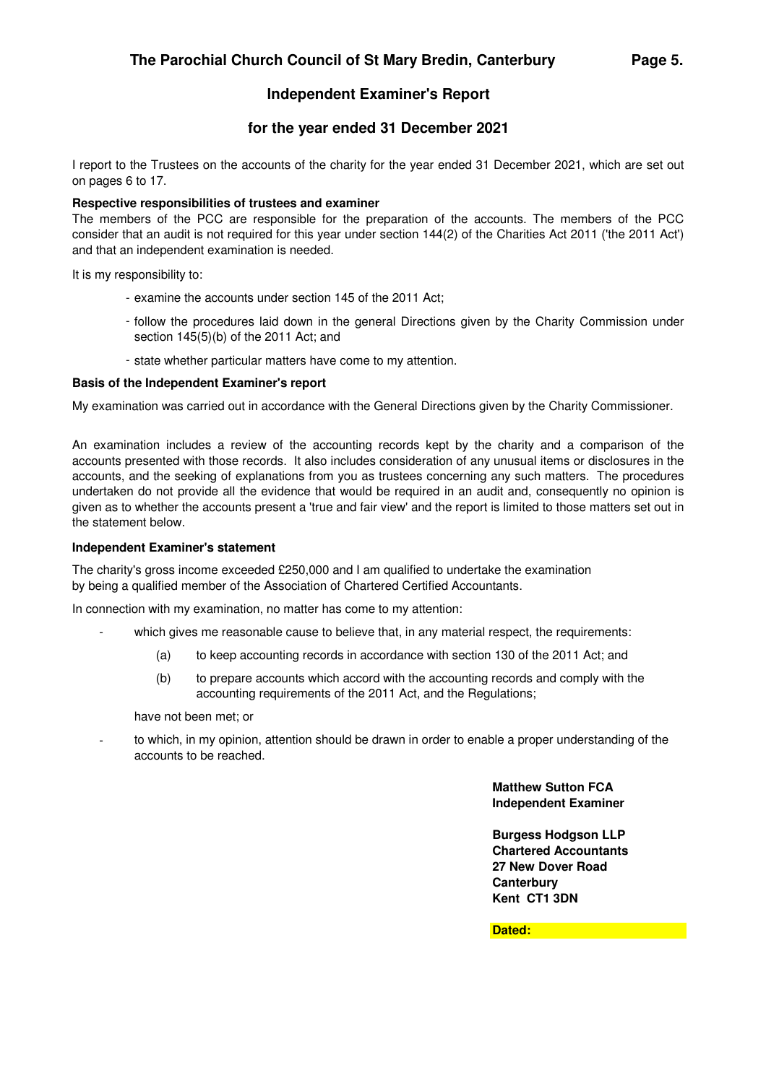# **for the year ended 31 December 2021**

I report to the Trustees on the accounts of the charity for the year ended 31 December 2021, which are set out on pages 6 to 17.

## **Respective responsibilities of trustees and examiner**

The members of the PCC are responsible for the preparation of the accounts. The members of the PCC consider that an audit is not required for this year under section 144(2) of the Charities Act 2011 ('the 2011 Act') and that an independent examination is needed.

It is my responsibility to:

- examine the accounts under section 145 of the 2011 Act;
- follow the procedures laid down in the general Directions given by the Charity Commission under section 145(5)(b) of the 2011 Act; and
- state whether particular matters have come to my attention.

## **Basis of the Independent Examiner's report**

My examination was carried out in accordance with the General Directions given by the Charity Commissioner.

An examination includes a review of the accounting records kept by the charity and a comparison of the accounts presented with those records. It also includes consideration of any unusual items or disclosures in the accounts, and the seeking of explanations from you as trustees concerning any such matters. The procedures undertaken do not provide all the evidence that would be required in an audit and, consequently no opinion is given as to whether the accounts present a 'true and fair view' and the report is limited to those matters set out in the statement below.

## **Independent Examiner's statement**

The charity's gross income exceeded £250,000 and I am qualified to undertake the examination by being a qualified member of the Association of Chartered Certified Accountants.

In connection with my examination, no matter has come to my attention:

- which gives me reasonable cause to believe that, in any material respect, the requirements:
	- (a) to keep accounting records in accordance with section 130 of the 2011 Act; and
	- (b) to prepare accounts which accord with the accounting records and comply with the accounting requirements of the 2011 Act, and the Regulations;

have not been met; or

 to which, in my opinion, attention should be drawn in order to enable a proper understanding of the accounts to be reached.

> **Matthew Sutton FCA Independent Examiner**

**Burgess Hodgson LLP Chartered Accountants 27 New Dover Road Canterbury Kent CT1 3DN**

**Dated:**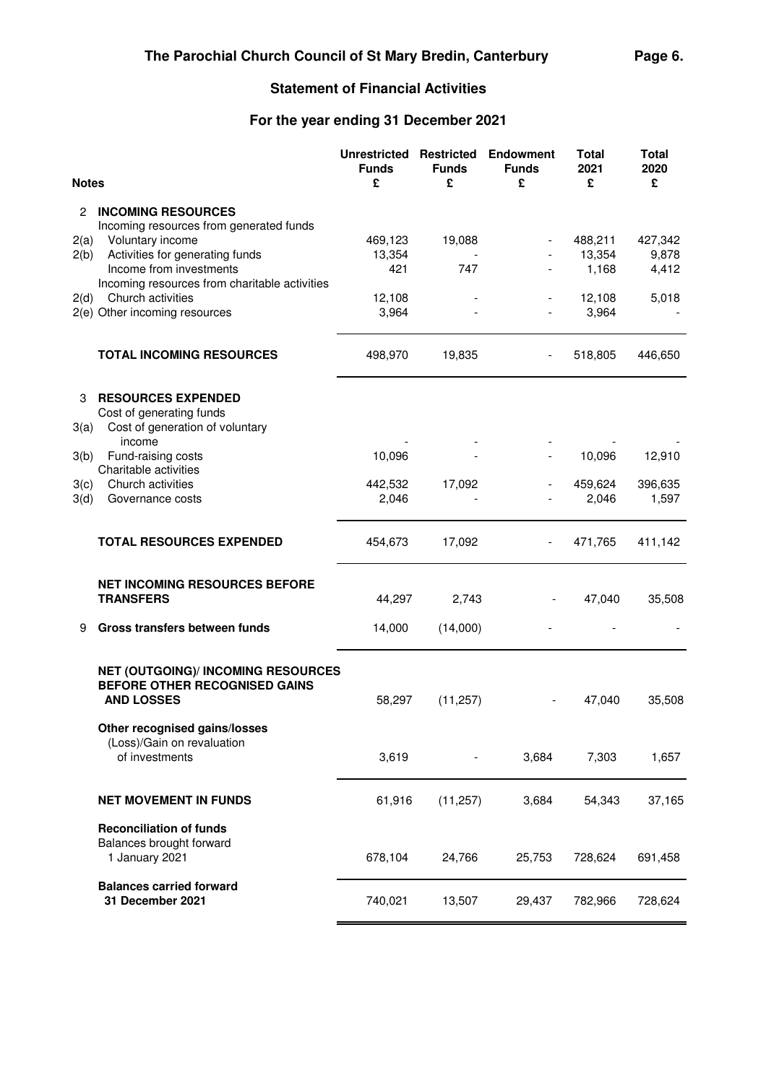# **Statement of Financial Activities**

# **For the year ending 31 December 2021**

| <b>Notes</b> |                                                                      | <b>Unrestricted</b><br><b>Funds</b><br>£ | <b>Restricted</b><br><b>Funds</b><br>£ | <b>Endowment</b><br><b>Funds</b><br>£ | <b>Total</b><br>2021<br>£ | <b>Total</b><br>2020<br>£ |
|--------------|----------------------------------------------------------------------|------------------------------------------|----------------------------------------|---------------------------------------|---------------------------|---------------------------|
| 2            | <b>INCOMING RESOURCES</b><br>Incoming resources from generated funds |                                          |                                        |                                       |                           |                           |
| 2(a)         | Voluntary income                                                     | 469,123                                  | 19,088                                 |                                       | 488,211                   | 427,342                   |
| 2(b)         | Activities for generating funds                                      | 13,354                                   |                                        |                                       | 13,354                    | 9,878                     |
|              | Income from investments                                              | 421                                      | 747                                    |                                       | 1,168                     | 4,412                     |
|              | Incoming resources from charitable activities                        |                                          |                                        |                                       |                           |                           |
| 2(d)         | Church activities<br>2(e) Other incoming resources                   | 12,108<br>3,964                          |                                        |                                       | 12,108<br>3,964           | 5,018                     |
|              |                                                                      |                                          |                                        |                                       |                           |                           |
|              | <b>TOTAL INCOMING RESOURCES</b>                                      | 498,970                                  | 19,835                                 |                                       | 518,805                   | 446,650                   |
| 3            | <b>RESOURCES EXPENDED</b>                                            |                                          |                                        |                                       |                           |                           |
|              | Cost of generating funds                                             |                                          |                                        |                                       |                           |                           |
| 3(a)         | Cost of generation of voluntary                                      |                                          |                                        |                                       |                           |                           |
| 3(b)         | income<br>Fund-raising costs                                         | 10,096                                   |                                        |                                       | 10,096                    | 12,910                    |
|              | Charitable activities                                                |                                          |                                        |                                       |                           |                           |
| 3(c)         | Church activities                                                    | 442,532                                  | 17,092                                 |                                       | 459,624                   | 396,635                   |
| 3(d)         | Governance costs                                                     | 2,046                                    |                                        |                                       | 2,046                     | 1,597                     |
|              |                                                                      |                                          |                                        |                                       |                           |                           |
|              | <b>TOTAL RESOURCES EXPENDED</b>                                      | 454,673                                  | 17,092                                 |                                       | 471,765                   | 411,142                   |
|              |                                                                      |                                          |                                        |                                       |                           |                           |
|              | <b>NET INCOMING RESOURCES BEFORE</b>                                 |                                          |                                        |                                       |                           |                           |
|              | <b>TRANSFERS</b>                                                     | 44,297                                   | 2,743                                  |                                       | 47,040                    | 35,508                    |
|              |                                                                      |                                          |                                        |                                       |                           |                           |
| 9            | Gross transfers between funds                                        | 14,000                                   | (14,000)                               |                                       |                           |                           |
|              | <b>NET (OUTGOING)/ INCOMING RESOURCES</b>                            |                                          |                                        |                                       |                           |                           |
|              | BEFORE OTHER RECOGNISED GAINS                                        |                                          |                                        |                                       |                           |                           |
|              | <b>AND LOSSES</b>                                                    | 58,297                                   | (11, 257)                              |                                       | 47,040                    | 35,508                    |
|              |                                                                      |                                          |                                        |                                       |                           |                           |
|              | Other recognised gains/losses<br>(Loss)/Gain on revaluation          |                                          |                                        |                                       |                           |                           |
|              | of investments                                                       | 3,619                                    |                                        | 3,684                                 | 7,303                     | 1,657                     |
|              |                                                                      |                                          |                                        |                                       |                           |                           |
|              | <b>NET MOVEMENT IN FUNDS</b>                                         | 61,916                                   | (11, 257)                              | 3,684                                 | 54,343                    | 37,165                    |
|              |                                                                      |                                          |                                        |                                       |                           |                           |
|              | <b>Reconciliation of funds</b><br>Balances brought forward           |                                          |                                        |                                       |                           |                           |
|              | 1 January 2021                                                       | 678,104                                  | 24,766                                 | 25,753                                | 728,624                   | 691,458                   |
|              |                                                                      |                                          |                                        |                                       |                           |                           |
|              | <b>Balances carried forward</b>                                      |                                          |                                        |                                       |                           |                           |
|              | 31 December 2021                                                     | 740,021                                  | 13,507                                 | 29,437                                | 782,966                   | 728,624                   |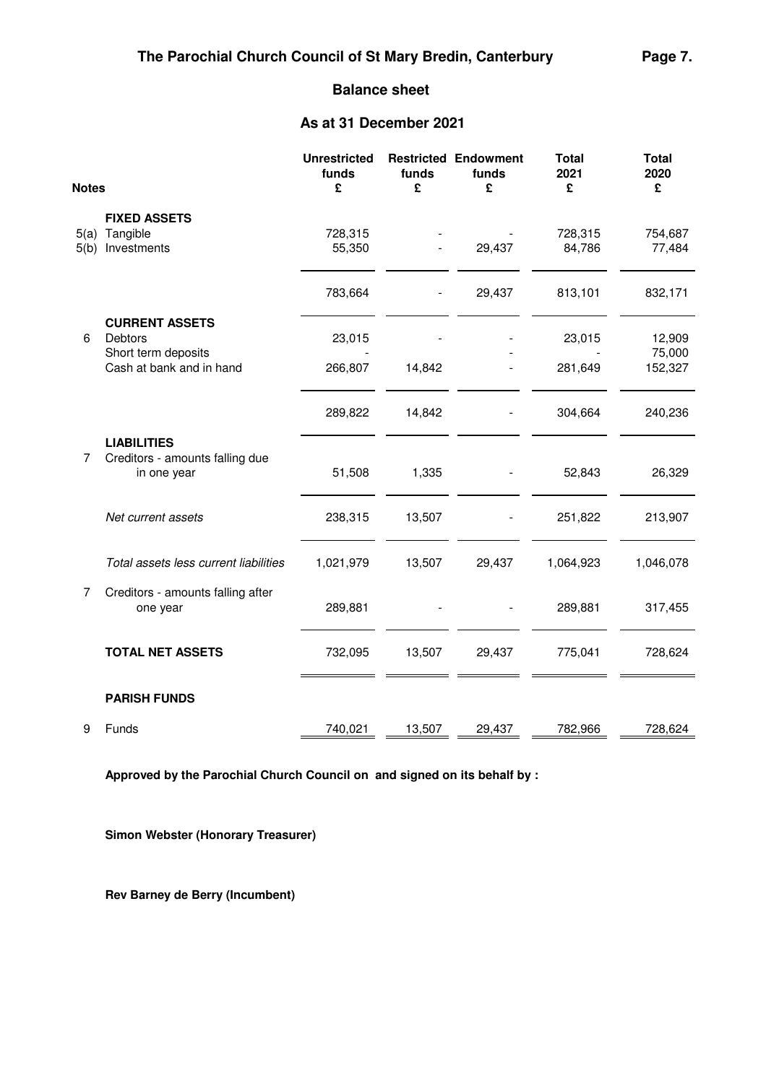## **Balance sheet**

# **As at 31 December 2021**

| <b>Notes</b> |                                                                      | <b>Unrestricted</b><br>funds<br>£ | funds<br>£ | <b>Restricted Endowment</b><br>funds<br>£ | <b>Total</b><br>2021<br>£ | <b>Total</b><br>2020<br>£ |
|--------------|----------------------------------------------------------------------|-----------------------------------|------------|-------------------------------------------|---------------------------|---------------------------|
|              | <b>FIXED ASSETS</b>                                                  |                                   |            |                                           |                           |                           |
| 5(a)         | Tangible                                                             | 728,315                           |            |                                           | 728,315                   | 754,687                   |
| 5(b)         | Investments                                                          | 55,350                            |            | 29,437                                    | 84,786                    | 77,484                    |
|              |                                                                      | 783,664                           |            | 29,437                                    | 813,101                   | 832,171                   |
| 6            | <b>CURRENT ASSETS</b><br>Debtors                                     | 23,015                            |            |                                           | 23,015                    | 12,909                    |
|              | Short term deposits                                                  |                                   |            |                                           |                           | 75,000                    |
|              | Cash at bank and in hand                                             | 266,807                           | 14,842     |                                           | 281,649                   | 152,327                   |
|              |                                                                      | 289,822                           | 14,842     |                                           | 304,664                   | 240,236                   |
| 7            | <b>LIABILITIES</b><br>Creditors - amounts falling due<br>in one year | 51,508                            | 1,335      |                                           | 52,843                    | 26,329                    |
|              | Net current assets                                                   | 238,315                           | 13,507     |                                           | 251,822                   | 213,907                   |
|              | Total assets less current liabilities                                | 1,021,979                         | 13,507     | 29,437                                    | 1,064,923                 | 1,046,078                 |
| 7            | Creditors - amounts falling after<br>one year                        | 289,881                           |            |                                           | 289,881                   | 317,455                   |
|              | <b>TOTAL NET ASSETS</b>                                              | 732,095                           | 13,507     | 29,437                                    | 775,041                   | 728,624                   |
|              | <b>PARISH FUNDS</b>                                                  |                                   |            |                                           |                           |                           |
| 9            | Funds                                                                | 740,021                           | 13,507     | 29,437                                    | 782,966                   | 728,624                   |

**Approved by the Parochial Church Council on and signed on its behalf by :**

**Simon Webster (Honorary Treasurer)**

**Rev Barney de Berry (Incumbent)**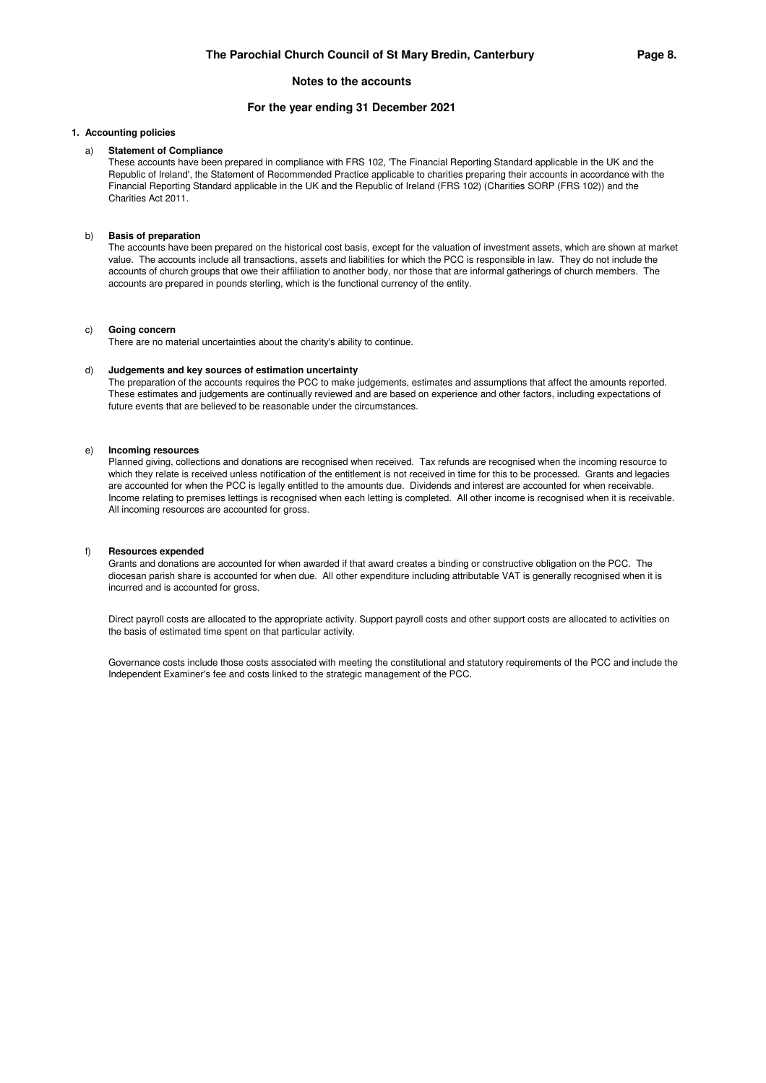### **For the year ending 31 December 2021**

### **1. Accounting policies**

### a) **Statement of Compliance**

These accounts have been prepared in compliance with FRS 102, 'The Financial Reporting Standard applicable in the UK and the Republic of Ireland', the Statement of Recommended Practice applicable to charities preparing their accounts in accordance with the Financial Reporting Standard applicable in the UK and the Republic of Ireland (FRS 102) (Charities SORP (FRS 102)) and the Charities Act 2011.

#### b) **Basis of preparation**

The accounts have been prepared on the historical cost basis, except for the valuation of investment assets, which are shown at market value. The accounts include all transactions, assets and liabilities for which the PCC is responsible in law. They do not include the accounts of church groups that owe their affiliation to another body, nor those that are informal gatherings of church members. The accounts are prepared in pounds sterling, which is the functional currency of the entity.

#### c) **Going concern**

There are no material uncertainties about the charity's ability to continue.

#### d) **Judgements and key sources of estimation uncertainty**

The preparation of the accounts requires the PCC to make judgements, estimates and assumptions that affect the amounts reported. These estimates and judgements are continually reviewed and are based on experience and other factors, including expectations of future events that are believed to be reasonable under the circumstances.

#### e) **Incoming resources**

Planned giving, collections and donations are recognised when received. Tax refunds are recognised when the incoming resource to which they relate is received unless notification of the entitlement is not received in time for this to be processed. Grants and legacies are accounted for when the PCC is legally entitled to the amounts due. Dividends and interest are accounted for when receivable. Income relating to premises lettings is recognised when each letting is completed. All other income is recognised when it is receivable. All incoming resources are accounted for gross.

#### f) **Resources expended**

Grants and donations are accounted for when awarded if that award creates a binding or constructive obligation on the PCC. The diocesan parish share is accounted for when due. All other expenditure including attributable VAT is generally recognised when it is incurred and is accounted for gross.

Direct payroll costs are allocated to the appropriate activity. Support payroll costs and other support costs are allocated to activities on the basis of estimated time spent on that particular activity.

Governance costs include those costs associated with meeting the constitutional and statutory requirements of the PCC and include the Independent Examiner's fee and costs linked to the strategic management of the PCC.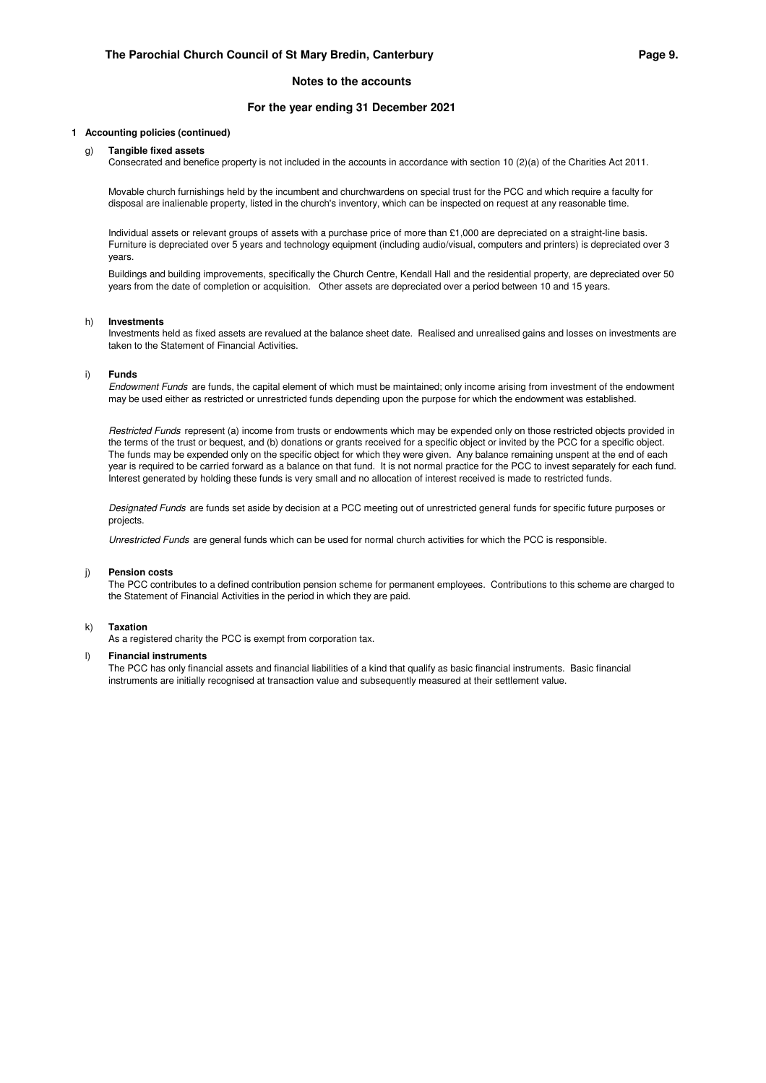### **For the year ending 31 December 2021**

#### **1 Accounting policies (continued)**

#### g) **Tangible fixed assets**

Consecrated and benefice property is not included in the accounts in accordance with section 10 (2)(a) of the Charities Act 2011.

Movable church furnishings held by the incumbent and churchwardens on special trust for the PCC and which require a faculty for disposal are inalienable property, listed in the church's inventory, which can be inspected on request at any reasonable time.

Individual assets or relevant groups of assets with a purchase price of more than £1,000 are depreciated on a straight-line basis. Furniture is depreciated over 5 years and technology equipment (including audio/visual, computers and printers) is depreciated over 3 years.

Buildings and building improvements, specifically the Church Centre, Kendall Hall and the residential property, are depreciated over 50 years from the date of completion or acquisition. Other assets are depreciated over a period between 10 and 15 years.

#### h) **Investments**

Investments held as fixed assets are revalued at the balance sheet date. Realised and unrealised gains and losses on investments are taken to the Statement of Financial Activities.

#### i) **Funds**

Endowment Funds are funds, the capital element of which must be maintained; only income arising from investment of the endowment may be used either as restricted or unrestricted funds depending upon the purpose for which the endowment was established.

Restricted Funds represent (a) income from trusts or endowments which may be expended only on those restricted objects provided in the terms of the trust or bequest, and (b) donations or grants received for a specific object or invited by the PCC for a specific object. The funds may be expended only on the specific object for which they were given. Any balance remaining unspent at the end of each year is required to be carried forward as a balance on that fund. It is not normal practice for the PCC to invest separately for each fund. Interest generated by holding these funds is very small and no allocation of interest received is made to restricted funds.

Designated Funds are funds set aside by decision at a PCC meeting out of unrestricted general funds for specific future purposes or projects.

Unrestricted Funds are general funds which can be used for normal church activities for which the PCC is responsible.

#### j) **Pension costs**

The PCC contributes to a defined contribution pension scheme for permanent employees. Contributions to this scheme are charged to the Statement of Financial Activities in the period in which they are paid.

#### k) **Taxation**

As a registered charity the PCC is exempt from corporation tax.

#### l) **Financial instruments**

The PCC has only financial assets and financial liabilities of a kind that qualify as basic financial instruments. Basic financial instruments are initially recognised at transaction value and subsequently measured at their settlement value.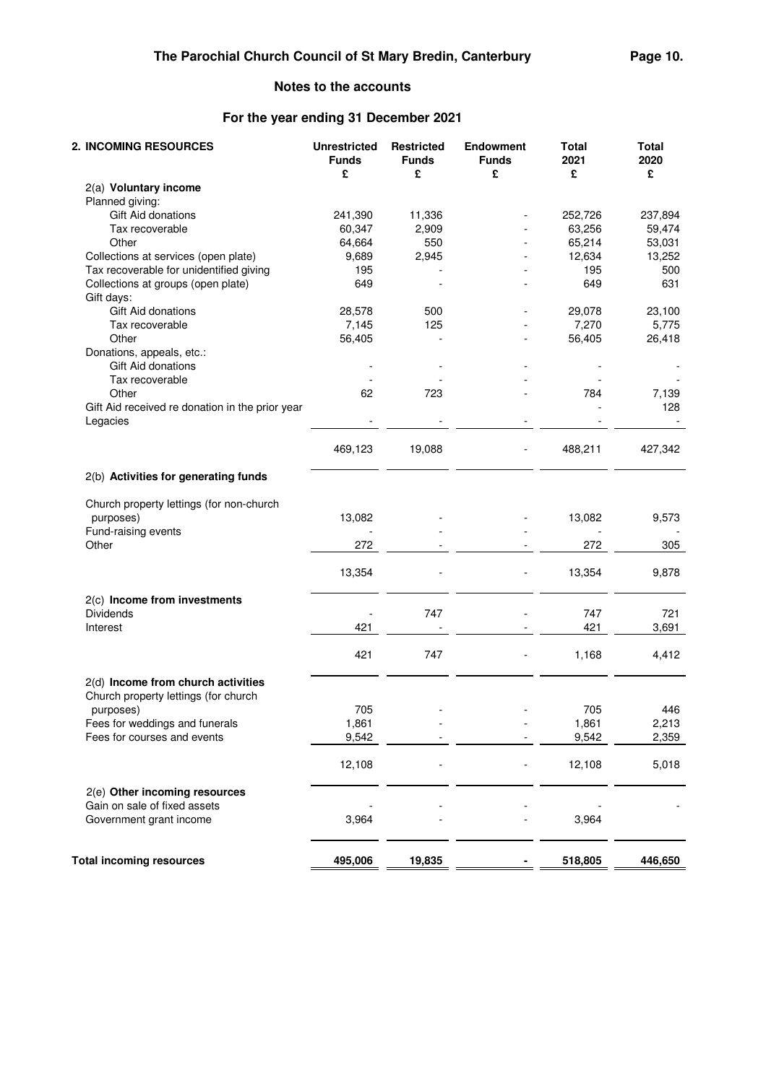# **For the year ending 31 December 2021**

| 2. INCOMING RESOURCES                                       | <b>Unrestricted</b><br><b>Funds</b><br>£ | <b>Restricted</b><br><b>Funds</b><br>£ | <b>Endowment</b><br><b>Funds</b><br>£ | <b>Total</b><br>2021<br>£ | <b>Total</b><br>2020<br>£ |
|-------------------------------------------------------------|------------------------------------------|----------------------------------------|---------------------------------------|---------------------------|---------------------------|
| 2(a) Voluntary income                                       |                                          |                                        |                                       |                           |                           |
| Planned giving:                                             |                                          |                                        |                                       |                           |                           |
| Gift Aid donations                                          | 241,390                                  | 11,336                                 |                                       | 252,726                   | 237,894                   |
| Tax recoverable                                             | 60,347                                   | 2,909                                  |                                       | 63,256                    | 59,474                    |
| Other                                                       | 64,664                                   | 550                                    |                                       | 65,214                    | 53,031                    |
| Collections at services (open plate)                        | 9,689                                    | 2,945                                  |                                       | 12,634                    | 13,252                    |
| Tax recoverable for unidentified giving                     | 195                                      |                                        |                                       | 195                       | 500                       |
| Collections at groups (open plate)<br>Gift days:            | 649                                      |                                        |                                       | 649                       | 631                       |
| Gift Aid donations                                          | 28,578                                   | 500                                    |                                       | 29,078                    | 23,100                    |
| Tax recoverable                                             | 7,145                                    | 125                                    |                                       | 7,270                     | 5,775                     |
| Other                                                       | 56,405                                   |                                        |                                       | 56,405                    | 26,418                    |
| Donations, appeals, etc.:                                   |                                          |                                        |                                       |                           |                           |
| Gift Aid donations                                          |                                          |                                        |                                       |                           |                           |
| Tax recoverable                                             |                                          |                                        |                                       |                           |                           |
| Other                                                       | 62                                       | 723                                    |                                       | 784                       | 7,139                     |
| Gift Aid received re donation in the prior year<br>Legacies |                                          |                                        |                                       |                           | 128                       |
|                                                             | 469,123                                  | 19,088                                 |                                       | 488,211                   | 427,342                   |
| 2(b) Activities for generating funds                        |                                          |                                        |                                       |                           |                           |
| Church property lettings (for non-church                    |                                          |                                        |                                       |                           |                           |
| purposes)                                                   | 13,082                                   |                                        |                                       | 13,082                    | 9,573                     |
| Fund-raising events<br>Other                                |                                          |                                        |                                       |                           |                           |
|                                                             | 272                                      |                                        |                                       | 272                       | 305                       |
|                                                             | 13,354                                   |                                        |                                       | 13,354                    | 9,878                     |
| 2(c) Income from investments                                |                                          |                                        |                                       |                           |                           |
| <b>Dividends</b>                                            |                                          | 747                                    |                                       | 747                       | 721                       |
| Interest                                                    | 421                                      |                                        |                                       | 421                       | 3,691                     |
|                                                             | 421                                      | 747                                    |                                       | 1,168                     | 4,412                     |
| 2(d) Income from church activities                          |                                          |                                        |                                       |                           |                           |
| Church property lettings (for church                        |                                          |                                        |                                       |                           |                           |
| purposes)                                                   | 705                                      |                                        |                                       | 705                       | 446                       |
| Fees for weddings and funerals                              | 1,861                                    |                                        |                                       | 1,861                     | 2,213                     |
| Fees for courses and events                                 | 9,542                                    |                                        |                                       | 9,542                     | 2,359                     |
|                                                             | 12,108                                   |                                        |                                       | 12,108                    | 5,018                     |
| 2(e) Other incoming resources                               |                                          |                                        |                                       |                           |                           |
| Gain on sale of fixed assets<br>Government grant income     | 3,964                                    |                                        |                                       | 3,964                     |                           |
| <b>Total incoming resources</b>                             | 495,006                                  | 19,835                                 |                                       | 518,805                   | 446,650                   |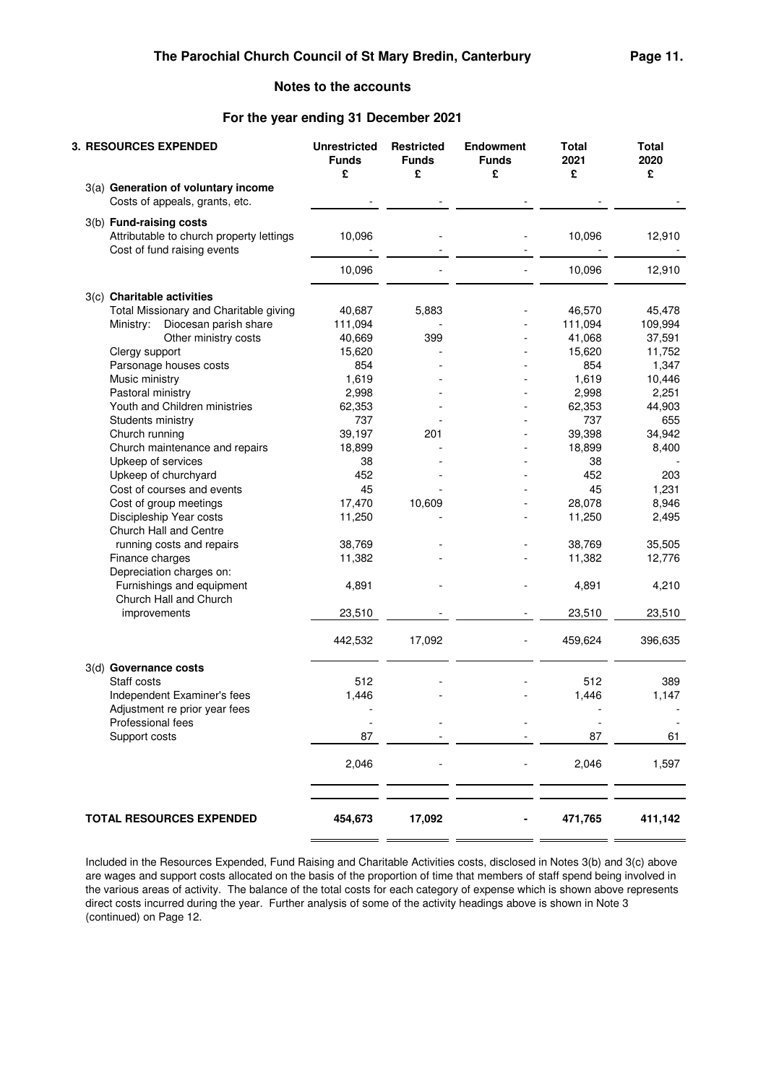## **For the year ending 31 December 2021**

| £<br>£<br>£<br>3(a) Generation of voluntary income<br>Costs of appeals, grants, etc.<br>3(b) Fund-raising costs<br>Attributable to church property lettings<br>10,096<br>Cost of fund raising events<br>10,096 | £<br>10,096<br>10,096<br>46,570<br>111,094<br>41,068<br>15,620<br>854 | £<br>12,910<br>12,910<br>45,478<br>109,994<br>37,591<br>11,752 |
|----------------------------------------------------------------------------------------------------------------------------------------------------------------------------------------------------------------|-----------------------------------------------------------------------|----------------------------------------------------------------|
|                                                                                                                                                                                                                |                                                                       |                                                                |
|                                                                                                                                                                                                                |                                                                       |                                                                |
|                                                                                                                                                                                                                |                                                                       |                                                                |
|                                                                                                                                                                                                                |                                                                       |                                                                |
|                                                                                                                                                                                                                |                                                                       |                                                                |
| 3(c) Charitable activities                                                                                                                                                                                     |                                                                       |                                                                |
| Total Missionary and Charitable giving<br>40,687<br>5,883                                                                                                                                                      |                                                                       |                                                                |
| Ministry: Diocesan parish share<br>111,094                                                                                                                                                                     |                                                                       |                                                                |
| Other ministry costs<br>40,669<br>399                                                                                                                                                                          |                                                                       |                                                                |
| 15,620<br>Clergy support<br>$\blacksquare$                                                                                                                                                                     |                                                                       |                                                                |
| Parsonage houses costs<br>854                                                                                                                                                                                  |                                                                       | 1,347                                                          |
| Music ministry<br>1,619                                                                                                                                                                                        | 1,619                                                                 | 10,446                                                         |
| 2,998<br>Pastoral ministry                                                                                                                                                                                     | 2,998                                                                 | 2,251                                                          |
| Youth and Children ministries<br>62,353                                                                                                                                                                        | 62,353                                                                | 44,903                                                         |
| 737<br>Students ministry                                                                                                                                                                                       | 737                                                                   | 655                                                            |
| 39,197<br>Church running<br>201                                                                                                                                                                                | 39,398                                                                | 34,942                                                         |
| Church maintenance and repairs<br>18,899                                                                                                                                                                       | 18,899                                                                | 8,400                                                          |
| Upkeep of services<br>38                                                                                                                                                                                       | 38                                                                    |                                                                |
| Upkeep of churchyard<br>452<br>٠                                                                                                                                                                               | 452                                                                   | 203                                                            |
| Cost of courses and events<br>45                                                                                                                                                                               | 45                                                                    | 1,231                                                          |
| 17,470<br>Cost of group meetings<br>10,609                                                                                                                                                                     | 28,078                                                                | 8,946                                                          |
| 11,250<br>Discipleship Year costs                                                                                                                                                                              | 11,250                                                                | 2,495                                                          |
| Church Hall and Centre                                                                                                                                                                                         |                                                                       |                                                                |
| running costs and repairs<br>38,769                                                                                                                                                                            | 38,769                                                                | 35,505                                                         |
| Finance charges<br>11,382                                                                                                                                                                                      | 11,382                                                                | 12,776                                                         |
| Depreciation charges on:                                                                                                                                                                                       |                                                                       |                                                                |
| Furnishings and equipment<br>4,891                                                                                                                                                                             | 4,891                                                                 | 4,210                                                          |
| Church Hall and Church                                                                                                                                                                                         |                                                                       |                                                                |
| 23,510<br>improvements                                                                                                                                                                                         | 23,510                                                                | 23,510                                                         |
| 442,532<br>17,092                                                                                                                                                                                              | 459,624                                                               | 396,635                                                        |
|                                                                                                                                                                                                                |                                                                       |                                                                |
| 3(d) Governance costs                                                                                                                                                                                          |                                                                       |                                                                |
| 512<br>Staff costs                                                                                                                                                                                             | 512                                                                   | 389                                                            |
| Independent Examiner's fees<br>1,446                                                                                                                                                                           | 1,446                                                                 | 1,147                                                          |
| Adjustment re prior year fees                                                                                                                                                                                  |                                                                       |                                                                |
| Professional fees                                                                                                                                                                                              |                                                                       |                                                                |
| Support costs<br>87                                                                                                                                                                                            | 87                                                                    | 61                                                             |
| 2,046                                                                                                                                                                                                          | 2,046                                                                 | 1,597                                                          |
|                                                                                                                                                                                                                |                                                                       |                                                                |
|                                                                                                                                                                                                                |                                                                       |                                                                |
| 454,673<br><b>TOTAL RESOURCES EXPENDED</b><br>17,092                                                                                                                                                           | 471,765                                                               | 411,142                                                        |

Included in the Resources Expended, Fund Raising and Charitable Activities costs, disclosed in Notes 3(b) and 3(c) above are wages and support costs allocated on the basis of the proportion of time that members of staff spend being involved in the various areas of activity. The balance of the total costs for each category of expense which is shown above represents direct costs incurred during the year. Further analysis of some of the activity headings above is shown in Note 3 (continued) on Page 12.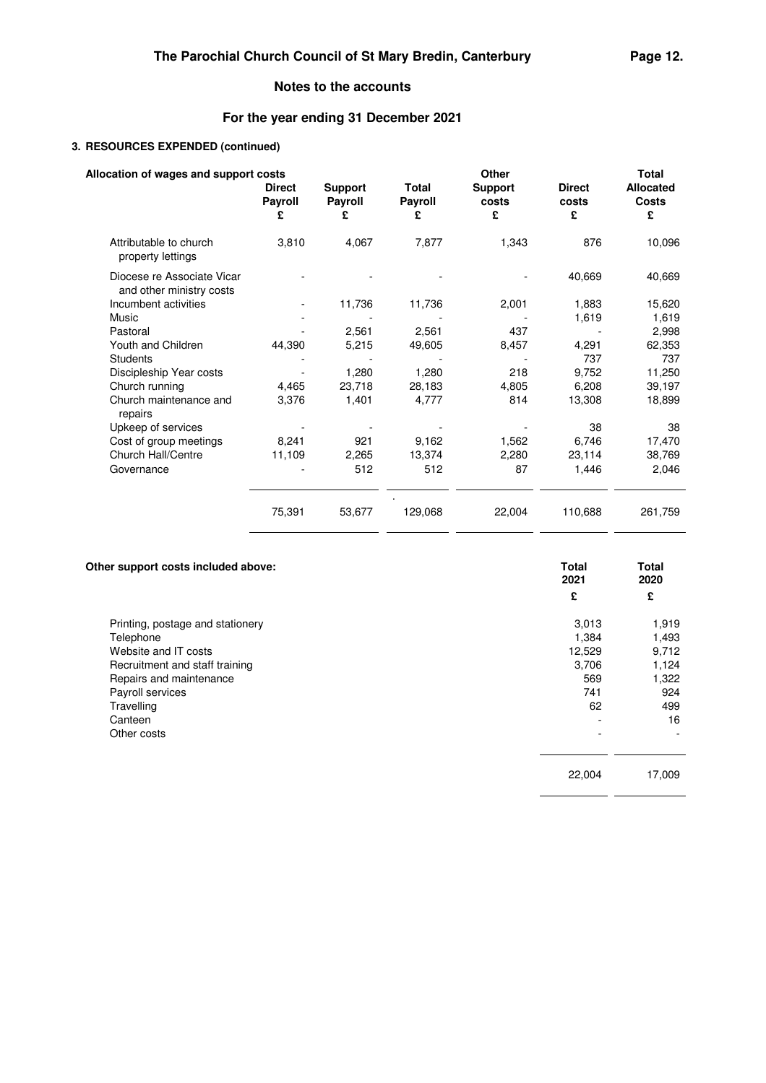# **For the year ending 31 December 2021**

## **3. RESOURCES EXPENDED (continued)**

| Allocation of wages and support costs                  |                                      |                                |                                     | Other                        |                             | <b>Total</b>                          |
|--------------------------------------------------------|--------------------------------------|--------------------------------|-------------------------------------|------------------------------|-----------------------------|---------------------------------------|
|                                                        | <b>Direct</b><br><b>Payroll</b><br>£ | <b>Support</b><br>Payroll<br>£ | <b>Total</b><br><b>Payroll</b><br>£ | <b>Support</b><br>costs<br>£ | <b>Direct</b><br>costs<br>£ | <b>Allocated</b><br><b>Costs</b><br>£ |
|                                                        |                                      |                                |                                     |                              |                             |                                       |
| Attributable to church<br>property lettings            | 3,810                                | 4,067                          | 7,877                               | 1,343                        | 876                         | 10,096                                |
| Diocese re Associate Vicar<br>and other ministry costs |                                      |                                |                                     |                              | 40,669                      | 40,669                                |
| Incumbent activities                                   |                                      | 11,736                         | 11,736                              | 2,001                        | 1,883                       | 15,620                                |
| Music                                                  |                                      |                                |                                     |                              | 1,619                       | 1,619                                 |
| Pastoral                                               |                                      | 2,561                          | 2,561                               | 437                          |                             | 2,998                                 |
| Youth and Children                                     | 44,390                               | 5,215                          | 49,605                              | 8,457                        | 4,291                       | 62,353                                |
| <b>Students</b>                                        |                                      |                                |                                     |                              | 737                         | 737                                   |
| Discipleship Year costs                                |                                      | 1,280                          | 1,280                               | 218                          | 9,752                       | 11,250                                |
| Church running                                         | 4,465                                | 23,718                         | 28,183                              | 4,805                        | 6,208                       | 39,197                                |
| Church maintenance and<br>repairs                      | 3,376                                | 1.401                          | 4,777                               | 814                          | 13,308                      | 18,899                                |
| Upkeep of services                                     |                                      |                                |                                     |                              | 38                          | 38                                    |
| Cost of group meetings                                 | 8,241                                | 921                            | 9,162                               | 1,562                        | 6,746                       | 17,470                                |
| Church Hall/Centre                                     | 11,109                               | 2,265                          | 13,374                              | 2,280                        | 23,114                      | 38,769                                |
| Governance                                             |                                      | 512                            | 512                                 | 87                           | 1,446                       | 2,046                                 |
|                                                        | 75,391                               | 53,677                         | 129,068                             | 22,004                       | 110,688                     | 261,759                               |

| Other support costs included above: | <b>Total</b><br>2021 | <b>Total</b><br>2020 |
|-------------------------------------|----------------------|----------------------|
|                                     | £                    | £                    |
| Printing, postage and stationery    | 3,013                | 1,919                |
| Telephone                           | 1,384                | 1,493                |
| Website and IT costs                | 12,529               | 9,712                |
| Recruitment and staff training      | 3,706                | 1,124                |
| Repairs and maintenance             | 569                  | 1,322                |
| Payroll services                    | 741                  | 924                  |
| Travelling                          | 62                   | 499                  |
| Canteen                             |                      | 16                   |
| Other costs                         |                      |                      |
|                                     | 22,004               | 17,009               |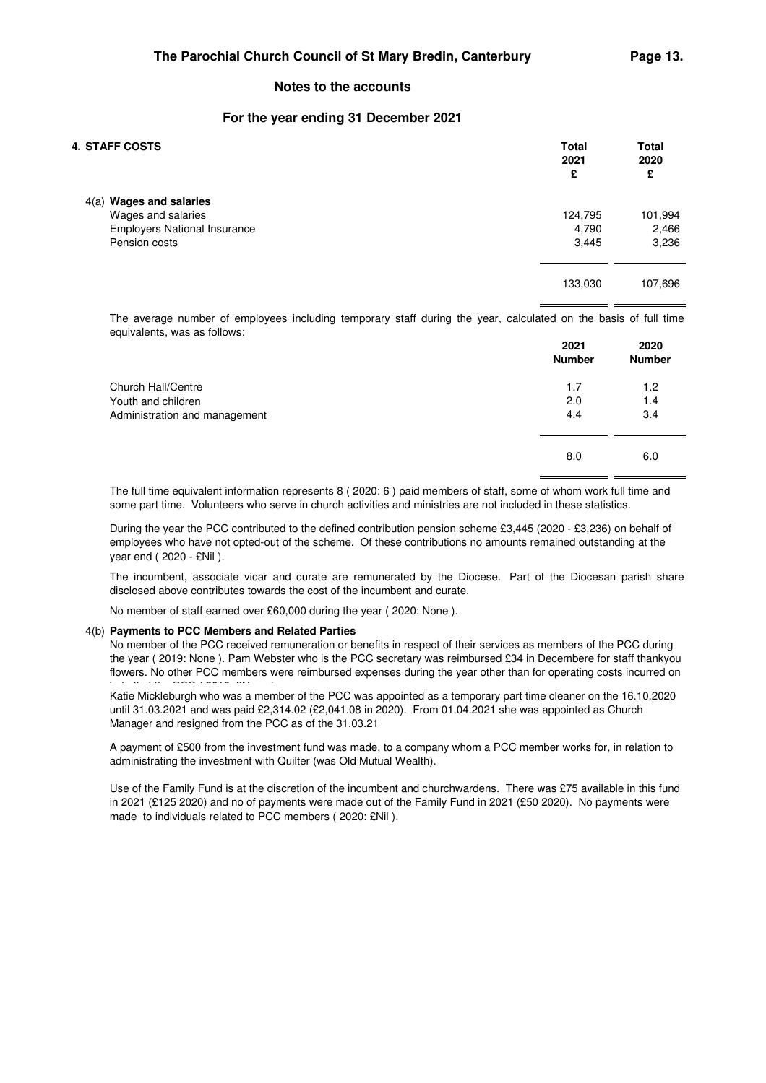### **For the year ending 31 December 2021**

| <b>4. STAFF COSTS</b>               | <b>Total</b><br>2021<br>£ | <b>Total</b><br>2020<br>£ |
|-------------------------------------|---------------------------|---------------------------|
| $4(a)$ Wages and salaries           |                           |                           |
| Wages and salaries                  | 124,795                   | 101,994                   |
| <b>Employers National Insurance</b> | 4,790                     | 2,466                     |
| Pension costs                       | 3,445                     | 3,236                     |
|                                     | 133,030                   | 107,696                   |

The average number of employees including temporary staff during the year, calculated on the basis of full time equivalents, was as follows:

|                               | 2021<br><b>Number</b> | 2020<br><b>Number</b> |
|-------------------------------|-----------------------|-----------------------|
| Church Hall/Centre            | 1.7                   | 1.2                   |
| Youth and children            | 2.0                   | 1.4                   |
| Administration and management | 4.4                   | 3.4                   |
|                               | 8.0                   | 6.0                   |

The full time equivalent information represents 8 ( 2020: 6 ) paid members of staff, some of whom work full time and some part time. Volunteers who serve in church activities and ministries are not included in these statistics.

During the year the PCC contributed to the defined contribution pension scheme £3,445 (2020 - £3,236) on behalf of employees who have not opted-out of the scheme. Of these contributions no amounts remained outstanding at the year end ( 2020 - £Nil ).

The incumbent, associate vicar and curate are remunerated by the Diocese. Part of the Diocesan parish share disclosed above contributes towards the cost of the incumbent and curate.

No member of staff earned over £60,000 during the year ( 2020: None ).

### 4(b) **Payments to PCC Members and Related Parties**

No member of the PCC received remuneration or benefits in respect of their services as members of the PCC during the year ( 2019: None ). Pam Webster who is the PCC secretary was reimbursed £34 in Decembere for staff thankyou flowers. No other PCC members were reimbursed expenses during the year other than for operating costs incurred on

.<br>Katie Mickleburgh who was a member of the PCC was appointed as a temporary part time cleaner on the 16.10.2020 until 31.03.2021 and was paid £2,314.02 (£2,041.08 in 2020). From 01.04.2021 she was appointed as Church Manager and resigned from the PCC as of the 31.03.21

A payment of £500 from the investment fund was made, to a company whom a PCC member works for, in relation to administrating the investment with Quilter (was Old Mutual Wealth).

Use of the Family Fund is at the discretion of the incumbent and churchwardens. There was £75 available in this fund in 2021 (£125 2020) and no of payments were made out of the Family Fund in 2021 (£50 2020). No payments were made to individuals related to PCC members ( 2020: £Nil ).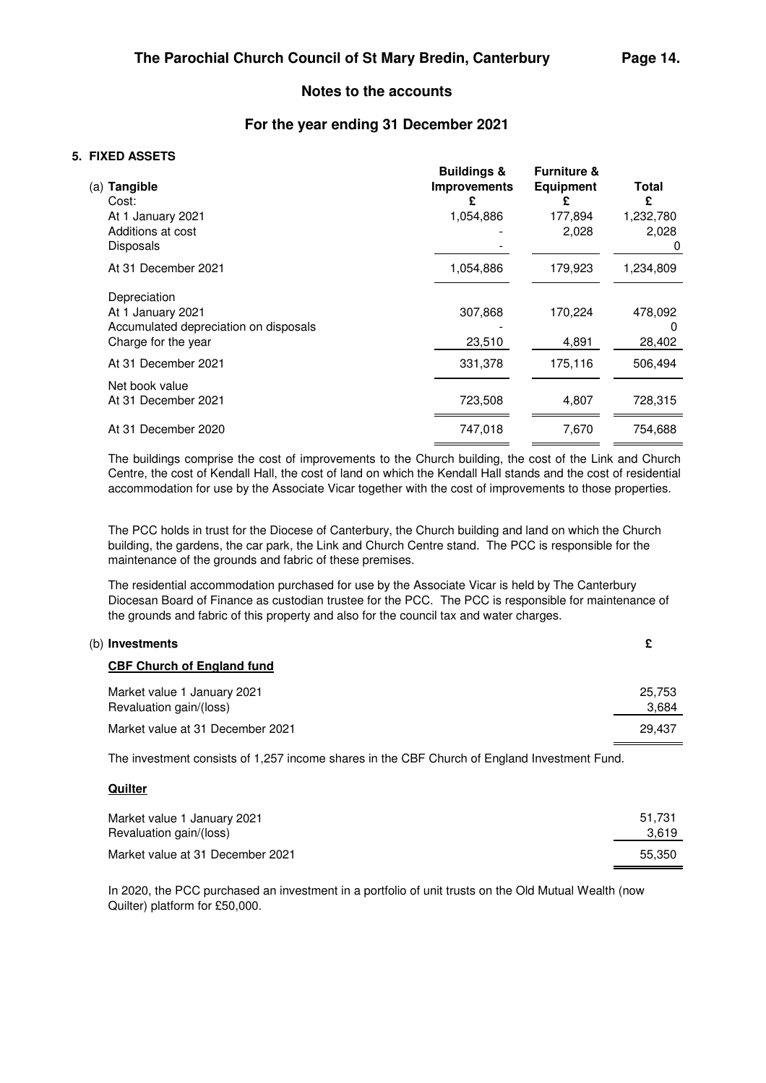## **For the year ending 31 December 2021**

## **5. FIXED ASSETS**

| (a) <b>Tangible</b><br>Cost:          | <b>Buildings &amp;</b><br><b>Improvements</b> | <b>Furniture &amp;</b><br><b>Equipment</b> | Total<br>£ |
|---------------------------------------|-----------------------------------------------|--------------------------------------------|------------|
| At 1 January 2021                     | 1,054,886                                     | 177,894                                    | 1,232,780  |
| Additions at cost                     |                                               | 2,028                                      | 2,028      |
| <b>Disposals</b>                      |                                               |                                            | 0          |
| At 31 December 2021                   | 1,054,886                                     | 179,923                                    | 1,234,809  |
| Depreciation                          |                                               |                                            |            |
| At 1 January 2021                     | 307,868                                       | 170,224                                    | 478,092    |
| Accumulated depreciation on disposals |                                               |                                            | 0          |
| Charge for the year                   | 23,510                                        | 4,891                                      | 28,402     |
| At 31 December 2021                   | 331,378                                       | 175,116                                    | 506,494    |
| Net book value                        |                                               |                                            |            |
| At 31 December 2021                   | 723,508                                       | 4,807                                      | 728,315    |
| At 31 December 2020                   | 747,018                                       | 7,670                                      | 754,688    |
|                                       |                                               |                                            |            |

The buildings comprise the cost of improvements to the Church building, the cost of the Link and Church Centre, the cost of Kendall Hall, the cost of land on which the Kendall Hall stands and the cost of residential accommodation for use by the Associate Vicar together with the cost of improvements to those properties.

The PCC holds in trust for the Diocese of Canterbury, the Church building and land on which the Church building, the gardens, the car park, the Link and Church Centre stand. The PCC is responsible for the maintenance of the grounds and fabric of these premises.

The residential accommodation purchased for use by the Associate Vicar is held by The Canterbury Diocesan Board of Finance as custodian trustee for the PCC. The PCC is responsible for maintenance of the grounds and fabric of this property and also for the council tax and water charges.

| (b) Investments                                        |                 |
|--------------------------------------------------------|-----------------|
| <b>CBF Church of England fund</b>                      |                 |
| Market value 1 January 2021<br>Revaluation gain/(loss) | 25,753<br>3,684 |
| Market value at 31 December 2021                       | 29.437          |
|                                                        |                 |

The investment consists of 1,257 income shares in the CBF Church of England Investment Fund.

## **Quilter**

| Market value 1 January 2021      | 51.731 |
|----------------------------------|--------|
| Revaluation gain/(loss)          | 3.619  |
| Market value at 31 December 2021 | 55.350 |

In 2020, the PCC purchased an investment in a portfolio of unit trusts on the Old Mutual Wealth (now Quilter) platform for £50,000.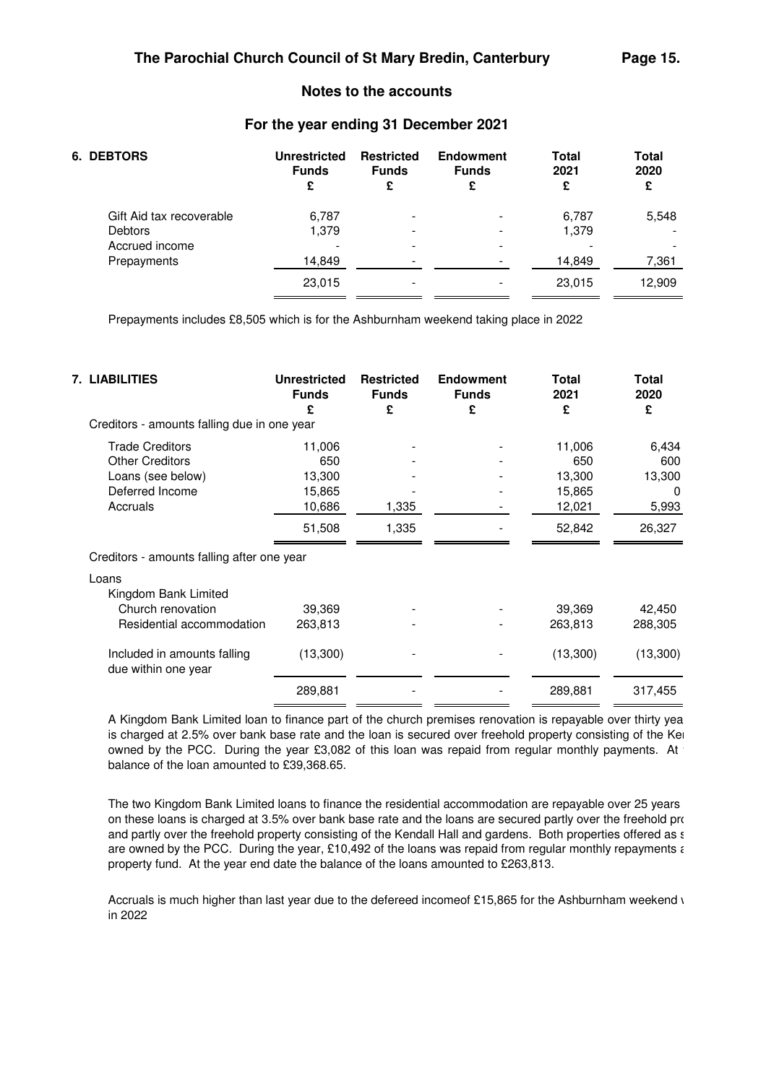## **For the year ending 31 December 2021**

| 6. DEBTORS                                 | <b>Unrestricted</b><br><b>Funds</b><br>£ | <b>Restricted</b><br><b>Funds</b><br>£ | <b>Endowment</b><br><b>Funds</b><br>£ | <b>Total</b><br>2021<br>£ | <b>Total</b><br>2020<br>£ |
|--------------------------------------------|------------------------------------------|----------------------------------------|---------------------------------------|---------------------------|---------------------------|
| Gift Aid tax recoverable<br><b>Debtors</b> | 6,787<br>1,379                           | -                                      | -<br>$\overline{\phantom{a}}$         | 6,787<br>1,379            | 5,548                     |
| Accrued income                             | -                                        |                                        | $\,$                                  |                           |                           |
| Prepayments                                | 14,849                                   | -                                      | $\overline{\phantom{a}}$              | 14,849                    | 7,361                     |
|                                            | 23,015                                   |                                        | $\overline{\phantom{a}}$              | 23,015                    | 12,909                    |

Prepayments includes £8,505 which is for the Ashburnham weekend taking place in 2022

| 7. LIABILITIES                                     | <b>Unrestricted</b><br><b>Funds</b><br>£ | <b>Restricted</b><br><b>Funds</b><br>£ | <b>Endowment</b><br><b>Funds</b><br>£ | <b>Total</b><br>2021<br>£ | Total<br>2020<br>£ |
|----------------------------------------------------|------------------------------------------|----------------------------------------|---------------------------------------|---------------------------|--------------------|
| Creditors - amounts falling due in one year        |                                          |                                        |                                       |                           |                    |
| <b>Trade Creditors</b>                             | 11,006                                   |                                        |                                       | 11,006                    | 6,434              |
| <b>Other Creditors</b>                             | 650                                      |                                        |                                       | 650                       | 600                |
| Loans (see below)                                  | 13,300                                   |                                        |                                       | 13,300                    | 13,300             |
| Deferred Income                                    | 15,865                                   |                                        |                                       | 15,865                    | $\Omega$           |
| Accruals                                           | 10,686                                   | 1,335                                  |                                       | 12,021                    | 5,993              |
|                                                    | 51,508                                   | 1,335                                  |                                       | 52,842                    | 26,327             |
| Creditors - amounts falling after one year         |                                          |                                        |                                       |                           |                    |
| Loans                                              |                                          |                                        |                                       |                           |                    |
| Kingdom Bank Limited                               |                                          |                                        |                                       |                           |                    |
| Church renovation                                  | 39,369                                   |                                        |                                       | 39,369                    | 42,450             |
| Residential accommodation                          | 263,813                                  |                                        |                                       | 263,813                   | 288,305            |
| Included in amounts falling<br>due within one year | (13,300)                                 |                                        |                                       | (13,300)                  | (13,300)           |
|                                                    | 289,881                                  |                                        |                                       | 289,881                   | 317,455            |

A Kingdom Bank Limited loan to finance part of the church premises renovation is repayable over thirty years is charged at 2.5% over bank base rate and the loan is secured over freehold property consisting of the Kendal owned by the PCC. During the year £3,082 of this loan was repaid from regular monthly payments. At balance of the loan amounted to £39,368.65.

The two Kingdom Bank Limited loans to finance the residential accommodation are repayable over 25 years on these loans is charged at 3.5% over bank base rate and the loans are secured partly over the freehold property and partly over the freehold property consisting of the Kendall Hall and gardens. Both properties offered as  $\epsilon$ are owned by the PCC. During the year, £10,492 of the loans was repaid from regular monthly repayments  $\epsilon$ property fund. At the year end date the balance of the loans amounted to £263,813.

Accruals is much higher than last year due to the defereed incomeof £15,865 for the Ashburnham weekend  $\iota$ in 2022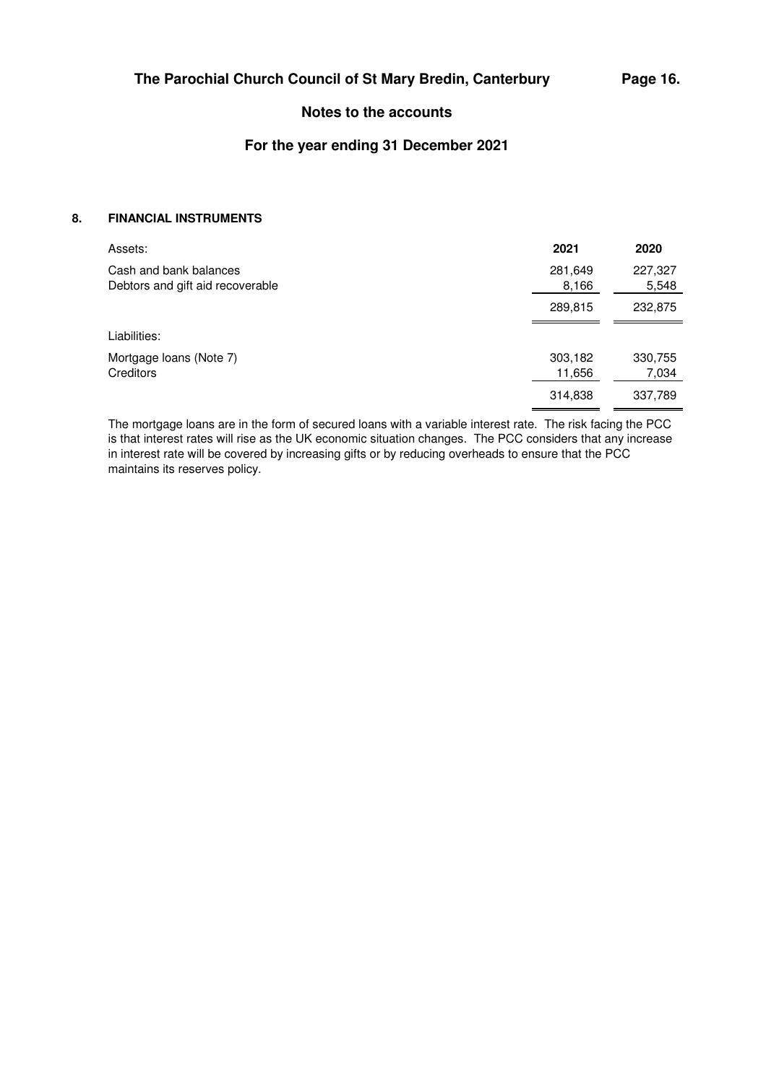## **For the year ending 31 December 2021**

## **8. FINANCIAL INSTRUMENTS**

| Assets:                                                    | 2021              | 2020             |
|------------------------------------------------------------|-------------------|------------------|
| Cash and bank balances<br>Debtors and gift aid recoverable | 281,649<br>8,166  | 227,327<br>5,548 |
|                                                            | 289,815           | 232,875          |
| Liabilities:                                               |                   |                  |
| Mortgage loans (Note 7)<br>Creditors                       | 303,182<br>11,656 | 330,755<br>7,034 |
|                                                            | 314,838           | 337,789          |

The mortgage loans are in the form of secured loans with a variable interest rate. The risk facing the PCC is that interest rates will rise as the UK economic situation changes. The PCC considers that any increase in interest rate will be covered by increasing gifts or by reducing overheads to ensure that the PCC maintains its reserves policy.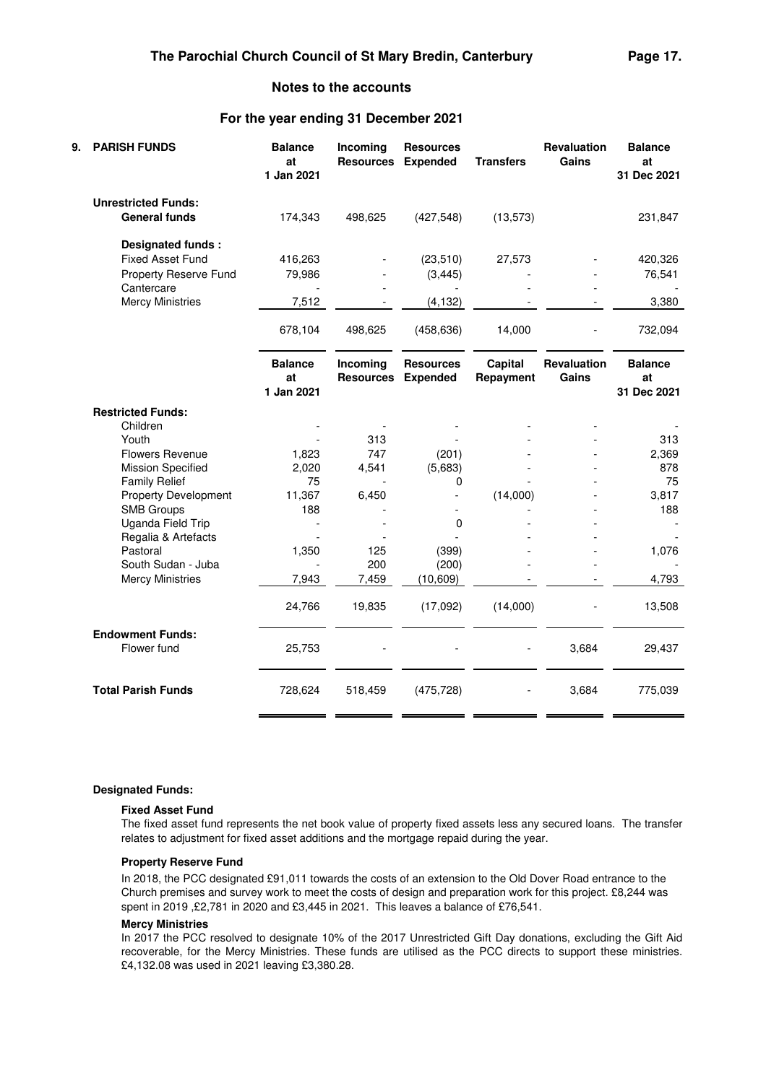## **For the year ending 31 December 2021**

| 9. | <b>PARISH FUNDS</b>                                | <b>Balance</b><br>at<br>1 Jan 2021 | Incoming<br><b>Resources</b> | <b>Resources</b><br><b>Expended</b> | <b>Transfers</b>     | <b>Revaluation</b><br>Gains | <b>Balance</b><br>at<br>31 Dec 2021 |
|----|----------------------------------------------------|------------------------------------|------------------------------|-------------------------------------|----------------------|-----------------------------|-------------------------------------|
|    | <b>Unrestricted Funds:</b><br><b>General funds</b> | 174,343                            | 498,625                      | (427, 548)                          | (13, 573)            |                             | 231,847                             |
|    |                                                    |                                    |                              |                                     |                      |                             |                                     |
|    | Designated funds:                                  |                                    |                              |                                     |                      |                             |                                     |
|    | <b>Fixed Asset Fund</b>                            | 416,263                            |                              | (23, 510)                           | 27,573               |                             | 420,326                             |
|    | Property Reserve Fund<br>Cantercare                | 79,986                             |                              | (3, 445)                            |                      |                             | 76,541                              |
|    | <b>Mercy Ministries</b>                            | 7,512                              |                              | (4, 132)                            |                      |                             | 3,380                               |
|    |                                                    | 678,104                            | 498,625                      | (458, 636)                          | 14,000               |                             | 732,094                             |
|    |                                                    | <b>Balance</b><br>at<br>1 Jan 2021 | Incoming<br><b>Resources</b> | <b>Resources</b><br><b>Expended</b> | Capital<br>Repayment | Revaluation<br>Gains        | <b>Balance</b><br>at<br>31 Dec 2021 |
|    | <b>Restricted Funds:</b>                           |                                    |                              |                                     |                      |                             |                                     |
|    | Children                                           |                                    |                              |                                     |                      |                             |                                     |
|    | Youth                                              |                                    | 313                          |                                     |                      |                             | 313                                 |
|    | <b>Flowers Revenue</b>                             | 1,823                              | 747                          | (201)                               |                      |                             | 2,369                               |
|    | <b>Mission Specified</b>                           | 2,020                              | 4,541                        | (5,683)                             |                      |                             | 878                                 |
|    | <b>Family Relief</b>                               | 75                                 |                              | 0                                   |                      |                             | 75                                  |
|    | <b>Property Development</b>                        | 11,367                             | 6,450                        |                                     | (14,000)             |                             | 3,817                               |
|    | <b>SMB Groups</b>                                  | 188                                |                              |                                     |                      |                             | 188                                 |
|    | Uganda Field Trip                                  |                                    |                              | $\mathbf 0$                         |                      |                             |                                     |
|    | Regalia & Artefacts                                |                                    |                              |                                     |                      |                             |                                     |
|    | Pastoral                                           | 1,350                              | 125                          | (399)                               |                      |                             | 1,076                               |
|    | South Sudan - Juba                                 |                                    | 200                          | (200)                               |                      |                             |                                     |
|    | <b>Mercy Ministries</b>                            | 7,943                              | 7,459                        | (10, 609)                           |                      |                             | 4,793                               |
|    |                                                    | 24,766                             | 19,835                       | (17,092)                            | (14,000)             |                             | 13,508                              |
|    | <b>Endowment Funds:</b>                            |                                    |                              |                                     |                      |                             |                                     |
|    | Flower fund                                        | 25,753                             |                              |                                     |                      | 3,684                       | 29,437                              |
|    | <b>Total Parish Funds</b>                          | 728,624                            | 518,459                      | (475, 728)                          |                      | 3,684                       | 775,039                             |

### **Designated Funds:**

### **Fixed Asset Fund**

The fixed asset fund represents the net book value of property fixed assets less any secured loans. The transfer relates to adjustment for fixed asset additions and the mortgage repaid during the year.

### **Property Reserve Fund**

In 2018, the PCC designated £91,011 towards the costs of an extension to the Old Dover Road entrance to the Church premises and survey work to meet the costs of design and preparation work for this project. £8,244 was spent in 2019 ,£2,781 in 2020 and £3,445 in 2021. This leaves a balance of £76,541.

### **Mercy Ministries**

In 2017 the PCC resolved to designate 10% of the 2017 Unrestricted Gift Day donations, excluding the Gift Aid recoverable, for the Mercy Ministries. These funds are utilised as the PCC directs to support these ministries. £4,132.08 was used in 2021 leaving £3,380.28.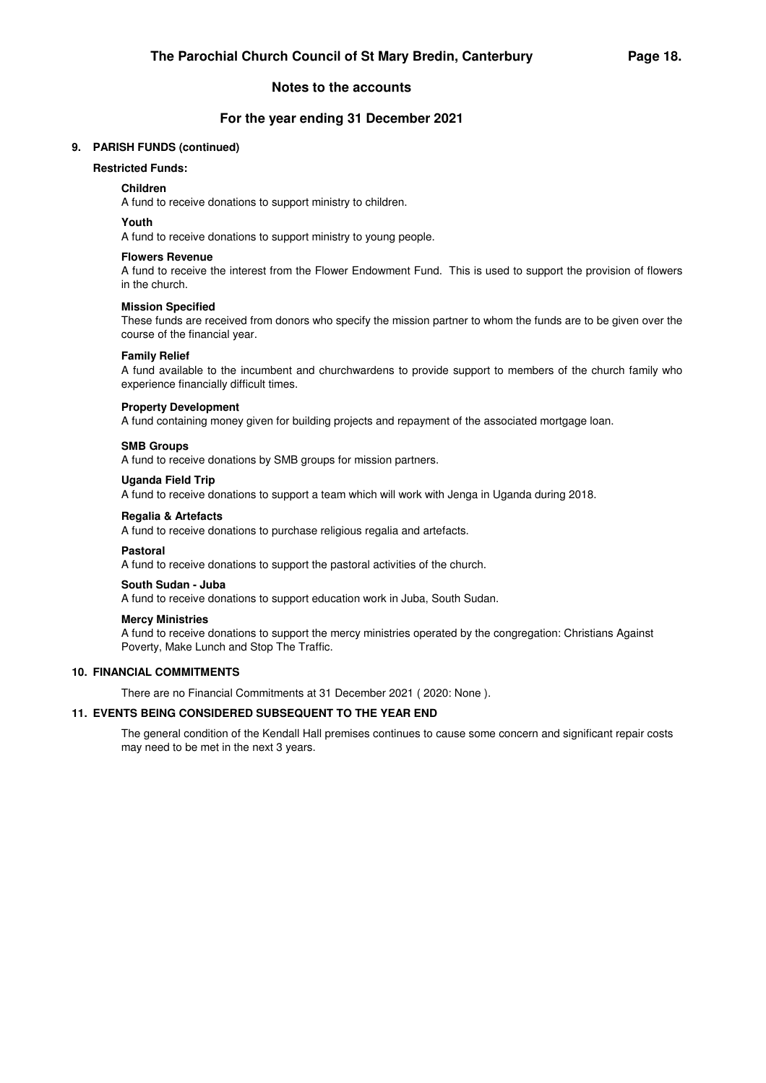## **For the year ending 31 December 2021**

## **9. PARISH FUNDS (continued)**

## **Restricted Funds:**

### **Children**

A fund to receive donations to support ministry to children.

### **Youth**

A fund to receive donations to support ministry to young people.

### **Flowers Revenue**

A fund to receive the interest from the Flower Endowment Fund. This is used to support the provision of flowers in the church.

### **Mission Specified**

These funds are received from donors who specify the mission partner to whom the funds are to be given over the course of the financial year.

### **Family Relief**

A fund available to the incumbent and churchwardens to provide support to members of the church family who experience financially difficult times.

### **Property Development**

A fund containing money given for building projects and repayment of the associated mortgage loan.

### **SMB Groups**

A fund to receive donations by SMB groups for mission partners.

### **Uganda Field Trip**

A fund to receive donations to support a team which will work with Jenga in Uganda during 2018.

### **Regalia & Artefacts**

A fund to receive donations to purchase religious regalia and artefacts.

### **Pastoral**

A fund to receive donations to support the pastoral activities of the church.

### **South Sudan - Juba**

A fund to receive donations to support education work in Juba, South Sudan.

### **Mercy Ministries**

A fund to receive donations to support the mercy ministries operated by the congregation: Christians Against Poverty, Make Lunch and Stop The Traffic.

### **10. FINANCIAL COMMITMENTS**

There are no Financial Commitments at 31 December 2021 ( 2020: None ).

## **11. EVENTS BEING CONSIDERED SUBSEQUENT TO THE YEAR END**

The general condition of the Kendall Hall premises continues to cause some concern and significant repair costs may need to be met in the next 3 years.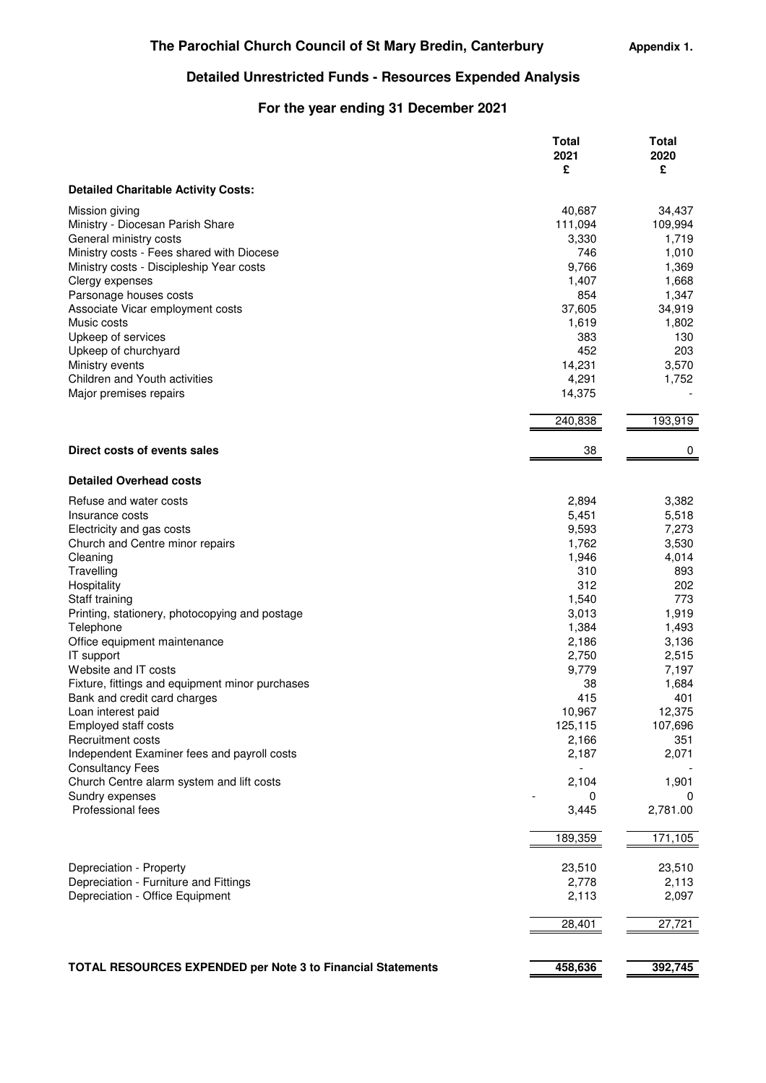**Appendix 1.**

# **Detailed Unrestricted Funds - Resources Expended Analysis**

# **For the year ending 31 December 2021**

|                                                                      | Total<br>2021<br>£ | Total<br>2020<br>£ |
|----------------------------------------------------------------------|--------------------|--------------------|
| <b>Detailed Charitable Activity Costs:</b>                           |                    |                    |
| Mission giving                                                       | 40,687             | 34,437             |
| Ministry - Diocesan Parish Share                                     | 111,094            | 109,994            |
| General ministry costs                                               | 3,330              | 1,719              |
| Ministry costs - Fees shared with Diocese                            | 746                | 1,010              |
| Ministry costs - Discipleship Year costs                             | 9,766              | 1,369              |
| Clergy expenses                                                      | 1,407              | 1,668              |
| Parsonage houses costs                                               | 854                | 1,347              |
| Associate Vicar employment costs                                     | 37,605             | 34,919             |
| Music costs                                                          | 1,619              | 1,802              |
| Upkeep of services                                                   | 383                | 130                |
| Upkeep of churchyard                                                 | 452                | 203                |
| Ministry events                                                      | 14,231             | 3,570              |
| Children and Youth activities                                        | 4,291              | 1,752              |
| Major premises repairs                                               | 14,375             |                    |
|                                                                      | 240,838            | 193,919            |
| Direct costs of events sales                                         |                    |                    |
|                                                                      | 38                 | 0                  |
| <b>Detailed Overhead costs</b>                                       |                    |                    |
| Refuse and water costs                                               | 2,894              | 3,382              |
| Insurance costs                                                      | 5,451              | 5,518              |
| Electricity and gas costs                                            | 9,593              | 7,273              |
| Church and Centre minor repairs                                      | 1,762              | 3,530              |
| Cleaning                                                             | 1,946              | 4,014              |
| Travelling                                                           | 310                | 893                |
| Hospitality                                                          | 312                | 202                |
| Staff training                                                       | 1,540              | 773                |
| Printing, stationery, photocopying and postage                       | 3,013              | 1,919              |
| Telephone                                                            | 1,384              | 1,493              |
| Office equipment maintenance                                         | 2,186              | 3,136              |
| IT support                                                           | 2,750              | 2,515              |
| Website and IT costs                                                 | 9,779              | 7,197              |
| Fixture, fittings and equipment minor purchases                      | 38                 | 1,684              |
| Bank and credit card charges                                         | 415                | 401                |
| Loan interest paid                                                   | 10,967             | 12,375             |
| Employed staff costs                                                 | 125,115            | 107,696            |
| Recruitment costs                                                    | 2,166              | 351                |
| Independent Examiner fees and payroll costs                          | 2,187              | 2,071              |
| <b>Consultancy Fees</b><br>Church Centre alarm system and lift costs | 2,104              | 1,901              |
| Sundry expenses                                                      | 0                  | 0                  |
| Professional fees                                                    | 3,445              | 2,781.00           |
|                                                                      |                    |                    |
|                                                                      | 189,359            | 171,105            |
| Depreciation - Property                                              | 23,510             | 23,510             |
| Depreciation - Furniture and Fittings                                | 2,778              | 2,113              |
| Depreciation - Office Equipment                                      | 2,113              | 2,097              |
|                                                                      | 28,401             | 27,721             |
|                                                                      |                    |                    |
| <b>TOTAL RESOURCES EXPENDED per Note 3 to Financial Statements</b>   | 458,636            | 392,745            |